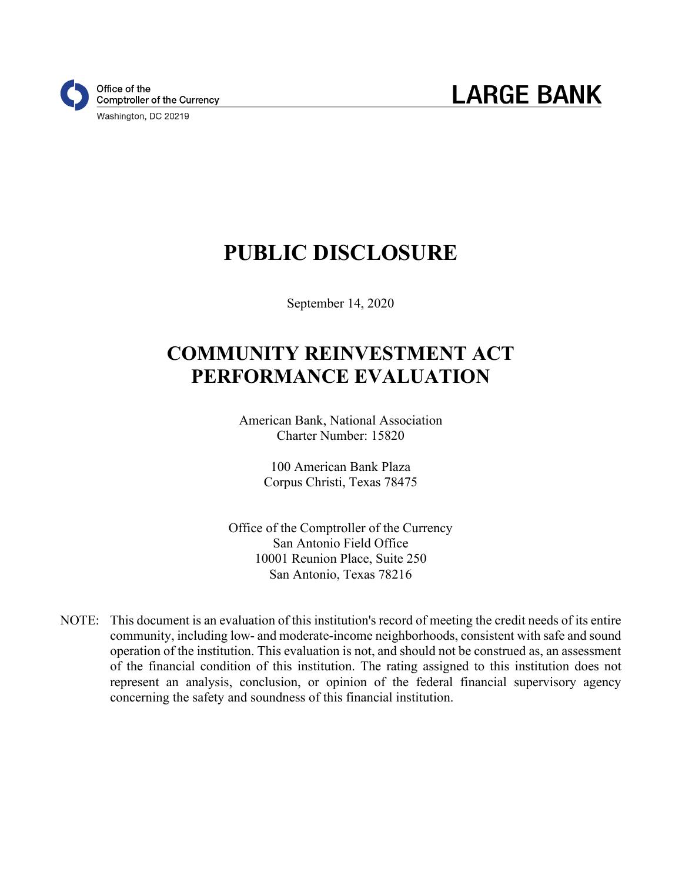

# **PUBLIC DISCLOSURE**

September 14, 2020

# **COMMUNITY REINVESTMENT ACT PERFORMANCE EVALUATION**

American Bank, National Association Charter Number: 15820

> 100 American Bank Plaza Corpus Christi, Texas 78475

Office of the Comptroller of the Currency San Antonio Field Office 10001 Reunion Place, Suite 250 San Antonio, Texas 78216

NOTE: This document is an evaluation of this institution's record of meeting the credit needs of its entire community, including low- and moderate-income neighborhoods, consistent with safe and sound operation of the institution. This evaluation is not, and should not be construed as, an assessment of the financial condition of this institution. The rating assigned to this institution does not represent an analysis, conclusion, or opinion of the federal financial supervisory agency concerning the safety and soundness of this financial institution.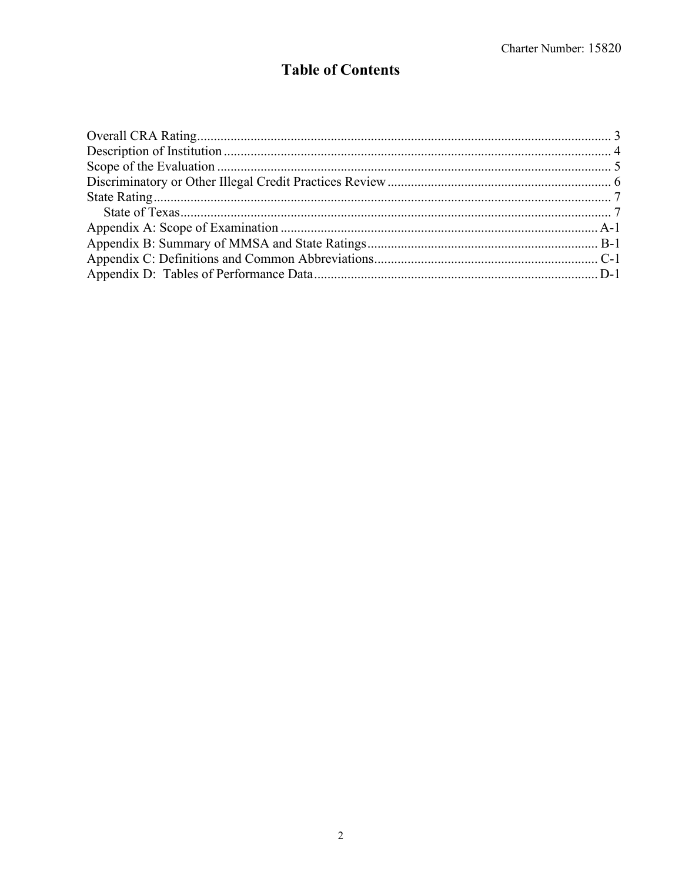# **Table of Contents**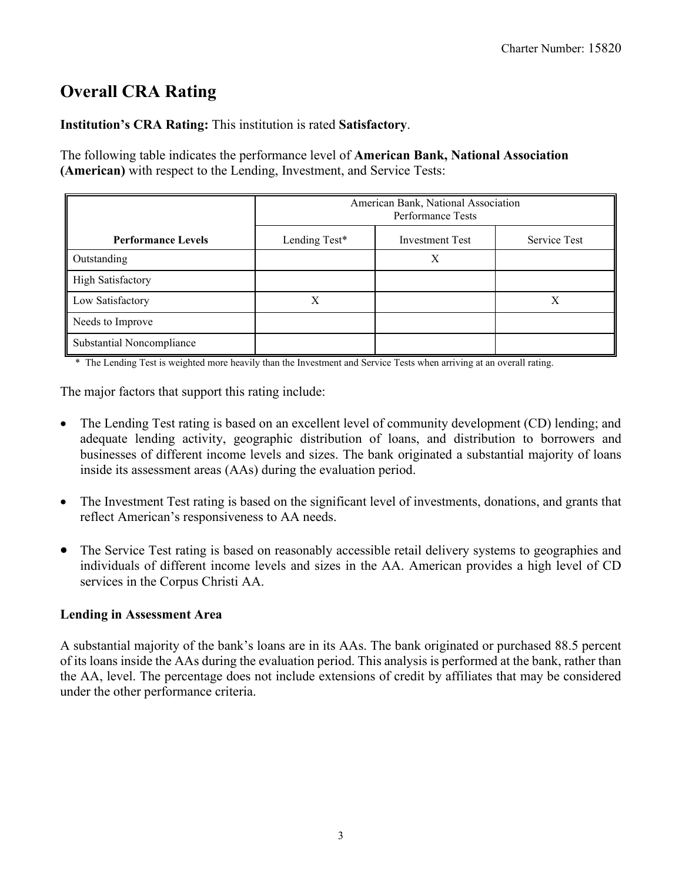# <span id="page-2-0"></span>**Overall CRA Rating**

**Institution's CRA Rating:** This institution is rated **Satisfactory**.

The following table indicates the performance level of **American Bank, National Association (American)** with respect to the Lending, Investment, and Service Tests:

|                           | American Bank, National Association<br>Performance Tests |              |  |  |  |  |  |  |  |
|---------------------------|----------------------------------------------------------|--------------|--|--|--|--|--|--|--|
| <b>Performance Levels</b> | Lending Test*                                            | Service Test |  |  |  |  |  |  |  |
| Outstanding               |                                                          | Χ            |  |  |  |  |  |  |  |
| <b>High Satisfactory</b>  |                                                          |              |  |  |  |  |  |  |  |
| Low Satisfactory          | X                                                        |              |  |  |  |  |  |  |  |
| Needs to Improve          |                                                          |              |  |  |  |  |  |  |  |
| Substantial Noncompliance |                                                          |              |  |  |  |  |  |  |  |

\* The Lending Test is weighted more heavily than the Investment and Service Tests when arriving at an overall rating.

The major factors that support this rating include:

- The Lending Test rating is based on an excellent level of community development (CD) lending; and adequate lending activity, geographic distribution of loans, and distribution to borrowers and businesses of different income levels and sizes. The bank originated a substantial majority of loans inside its assessment areas (AAs) during the evaluation period.
- The Investment Test rating is based on the significant level of investments, donations, and grants that reflect American's responsiveness to AA needs.
- The Service Test rating is based on reasonably accessible retail delivery systems to geographies and individuals of different income levels and sizes in the AA. American provides a high level of CD services in the Corpus Christi AA.

### **Lending in Assessment Area**

A substantial majority of the bank's loans are in its AAs. The bank originated or purchased 88.5 percent of its loans inside the AAs during the evaluation period. This analysis is performed at the bank, rather than the AA, level. The percentage does not include extensions of credit by affiliates that may be considered under the other performance criteria.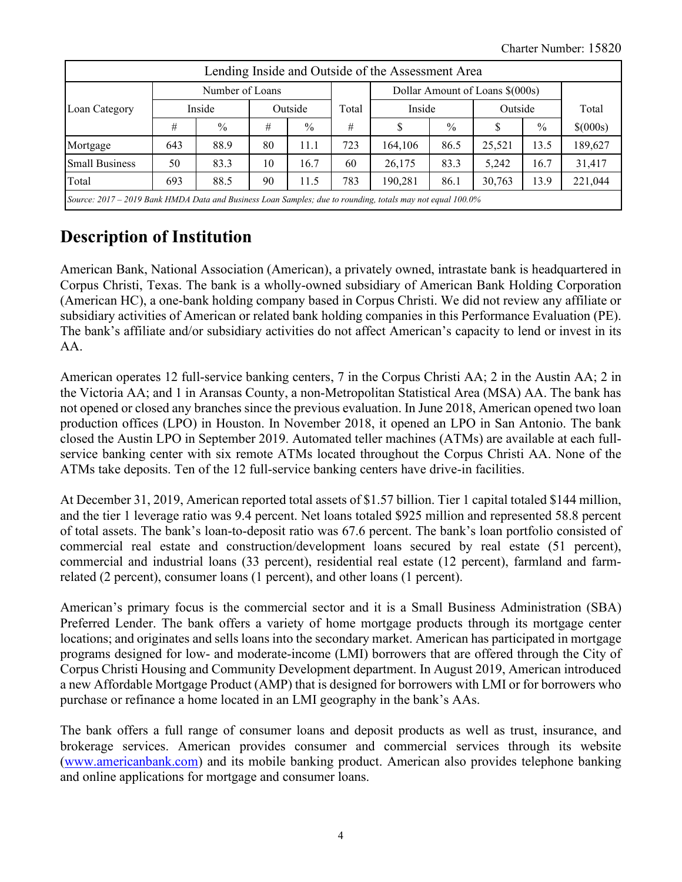|                                                                                                            | Lending Inside and Outside of the Assessment Area |               |    |               |                                 |         |      |         |      |          |  |
|------------------------------------------------------------------------------------------------------------|---------------------------------------------------|---------------|----|---------------|---------------------------------|---------|------|---------|------|----------|--|
| Number of Loans                                                                                            |                                                   |               |    |               | Dollar Amount of Loans \$(000s) |         |      |         |      |          |  |
| Loan Category                                                                                              | Inside                                            |               |    | Outside       |                                 | Inside  |      | Outside |      | Total    |  |
|                                                                                                            | #                                                 | $\frac{0}{0}$ | #  | $\frac{0}{0}$ | #                               |         | $\%$ | S       | $\%$ | \$(000s) |  |
| Mortgage                                                                                                   | 643                                               | 88.9          | 80 | 11.1          | 723                             | 164,106 | 86.5 | 25,521  | 13.5 | 189,627  |  |
| <b>Small Business</b>                                                                                      | 50                                                | 83.3          | 10 | 16.7          | 60                              | 26,175  | 83.3 | 5.242   | 16.7 | 31,417   |  |
| Total                                                                                                      | 693                                               | 88.5          | 90 | 11.5          | 783                             | 190,281 | 86.1 | 30,763  | 13.9 | 221,044  |  |
| Source: 2017 – 2019 Bank HMDA Data and Business Loan Samples; due to rounding, totals may not equal 100.0% |                                                   |               |    |               |                                 |         |      |         |      |          |  |

# <span id="page-3-0"></span>**Description of Institution**

American Bank, National Association (American), a privately owned, intrastate bank is headquartered in Corpus Christi, Texas. The bank is a wholly-owned subsidiary of American Bank Holding Corporation (American HC), a one-bank holding company based in Corpus Christi. We did not review any affiliate or subsidiary activities of American or related bank holding companies in this Performance Evaluation (PE). The bank's affiliate and/or subsidiary activities do not affect American's capacity to lend or invest in its AA.

American operates 12 full-service banking centers, 7 in the Corpus Christi AA; 2 in the Austin AA; 2 in the Victoria AA; and 1 in Aransas County, a non-Metropolitan Statistical Area (MSA) AA. The bank has not opened or closed any branches since the previous evaluation. In June 2018, American opened two loan production offices (LPO) in Houston. In November 2018, it opened an LPO in San Antonio. The bank closed the Austin LPO in September 2019. Automated teller machines (ATMs) are available at each fullservice banking center with six remote ATMs located throughout the Corpus Christi AA. None of the ATMs take deposits. Ten of the 12 full-service banking centers have drive-in facilities.

At December 31, 2019, American reported total assets of \$1.57 billion. Tier 1 capital totaled \$144 million, and the tier 1 leverage ratio was 9.4 percent. Net loans totaled \$925 million and represented 58.8 percent of total assets. The bank's loan-to-deposit ratio was 67.6 percent. The bank's loan portfolio consisted of commercial real estate and construction/development loans secured by real estate (51 percent), commercial and industrial loans (33 percent), residential real estate (12 percent), farmland and farmrelated (2 percent), consumer loans (1 percent), and other loans (1 percent).

American's primary focus is the commercial sector and it is a Small Business Administration (SBA) Preferred Lender. The bank offers a variety of home mortgage products through its mortgage center locations; and originates and sells loans into the secondary market. American has participated in mortgage programs designed for low- and moderate-income (LMI) borrowers that are offered through the City of Corpus Christi Housing and Community Development department. In August 2019, American introduced a new Affordable Mortgage Product (AMP) that is designed for borrowers with LMI or for borrowers who purchase or refinance a home located in an LMI geography in the bank's AAs.

The bank offers a full range of consumer loans and deposit products as well as trust, insurance, and brokerage services. American provides consumer and commercial services through its website [\(www.americanbank.com\)](http://www.americanbank.com/) and its mobile banking product. American also provides telephone banking and online applications for mortgage and consumer loans.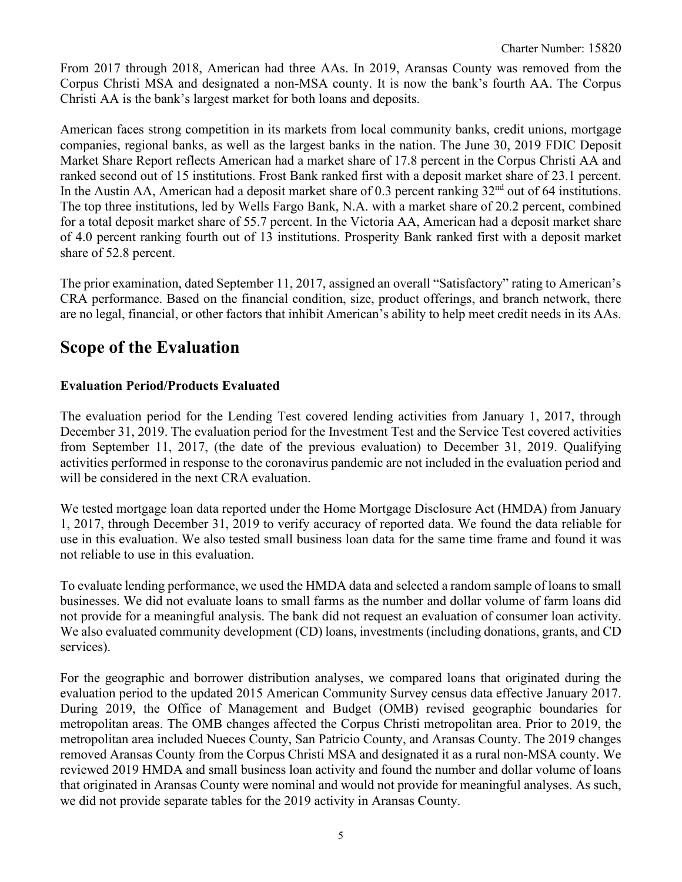From 2017 through 2018, American had three AAs. In 2019, Aransas County was removed from the Corpus Christi MSA and designated a non-MSA county. It is now the bank's fourth AA. The Corpus Christi AA is the bank's largest market for both loans and deposits.

American faces strong competition in its markets from local community banks, credit unions, mortgage companies, regional banks, as well as the largest banks in the nation. The June 30, 2019 FDIC Deposit Market Share Report reflects American had a market share of 17.8 percent in the Corpus Christi AA and ranked second out of 15 institutions. Frost Bank ranked first with a deposit market share of 23.1 percent. In the Austin AA, American had a deposit market share of 0.3 percent ranking  $32<sup>nd</sup>$  out of 64 institutions. The top three institutions, led by Wells Fargo Bank, N.A. with a market share of 20.2 percent, combined for a total deposit market share of 55.7 percent. In the Victoria AA, American had a deposit market share of 4.0 percent ranking fourth out of 13 institutions. Prosperity Bank ranked first with a deposit market share of 52.8 percent.

The prior examination, dated September 11, 2017, assigned an overall "Satisfactory" rating to American's CRA performance. Based on the financial condition, size, product offerings, and branch network, there are no legal, financial, or other factors that inhibit American's ability to help meet credit needs in its AAs.

# <span id="page-4-0"></span>**Scope of the Evaluation**

### **Evaluation Period/Products Evaluated**

The evaluation period for the Lending Test covered lending activities from January 1, 2017, through December 31, 2019. The evaluation period for the Investment Test and the Service Test covered activities from September 11, 2017, (the date of the previous evaluation) to December 31, 2019. Qualifying activities performed in response to the coronavirus pandemic are not included in the evaluation period and will be considered in the next CRA evaluation.

We tested mortgage loan data reported under the Home Mortgage Disclosure Act (HMDA) from January 1, 2017, through December 31, 2019 to verify accuracy of reported data. We found the data reliable for use in this evaluation. We also tested small business loan data for the same time frame and found it was not reliable to use in this evaluation.

To evaluate lending performance, we used the HMDA data and selected a random sample of loans to small businesses. We did not evaluate loans to small farms as the number and dollar volume of farm loans did not provide for a meaningful analysis. The bank did not request an evaluation of consumer loan activity. We also evaluated community development (CD) loans, investments (including donations, grants, and CD services).

For the geographic and borrower distribution analyses, we compared loans that originated during the evaluation period to the updated 2015 American Community Survey census data effective January 2017. During 2019, the Office of Management and Budget (OMB) revised geographic boundaries for metropolitan areas. The OMB changes affected the Corpus Christi metropolitan area. Prior to 2019, the metropolitan area included Nueces County, San Patricio County, and Aransas County. The 2019 changes removed Aransas County from the Corpus Christi MSA and designated it as a rural non-MSA county. We reviewed 2019 HMDA and small business loan activity and found the number and dollar volume of loans that originated in Aransas County were nominal and would not provide for meaningful analyses. As such, we did not provide separate tables for the 2019 activity in Aransas County.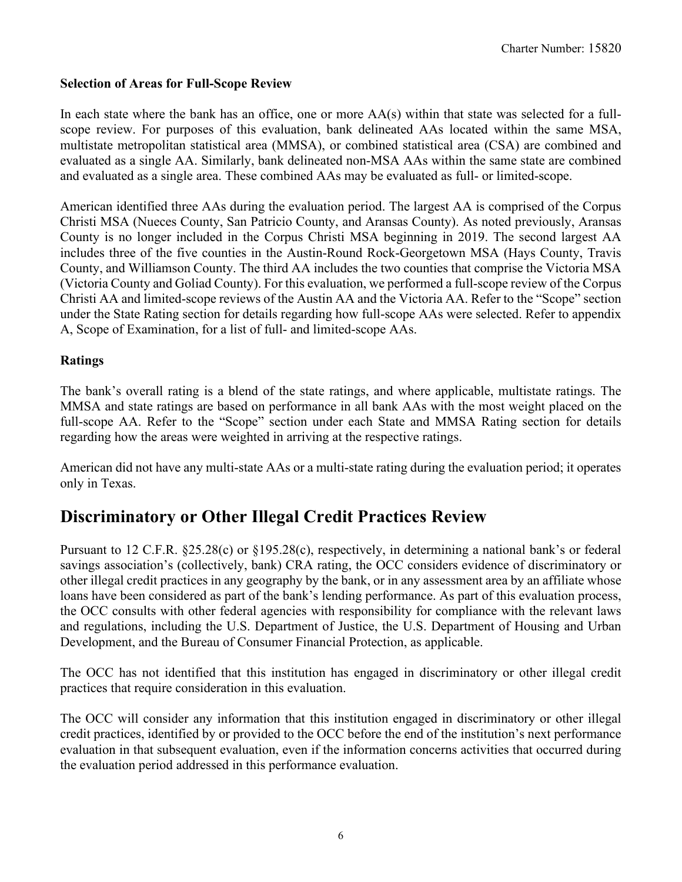### **Selection of Areas for Full-Scope Review**

In each state where the bank has an office, one or more AA(s) within that state was selected for a fullscope review. For purposes of this evaluation, bank delineated AAs located within the same MSA, multistate metropolitan statistical area (MMSA), or combined statistical area (CSA) are combined and evaluated as a single AA. Similarly, bank delineated non-MSA AAs within the same state are combined and evaluated as a single area. These combined AAs may be evaluated as full- or limited-scope.

American identified three AAs during the evaluation period. The largest AA is comprised of the Corpus Christi MSA (Nueces County, San Patricio County, and Aransas County). As noted previously, Aransas County is no longer included in the Corpus Christi MSA beginning in 2019. The second largest AA includes three of the five counties in the Austin-Round Rock-Georgetown MSA (Hays County, Travis County, and Williamson County. The third AA includes the two counties that comprise the Victoria MSA (Victoria County and Goliad County). For this evaluation, we performed a full-scope review of the Corpus Christi AA and limited-scope reviews of the Austin AA and the Victoria AA. Refer to the "Scope" section under the State Rating section for details regarding how full-scope AAs were selected. Refer to appendix A, Scope of Examination, for a list of full- and limited-scope AAs.

#### **Ratings**

The bank's overall rating is a blend of the state ratings, and where applicable, multistate ratings. The MMSA and state ratings are based on performance in all bank AAs with the most weight placed on the full-scope AA. Refer to the "Scope" section under each State and MMSA Rating section for details regarding how the areas were weighted in arriving at the respective ratings.

American did not have any multi-state AAs or a multi-state rating during the evaluation period; it operates only in Texas.

# <span id="page-5-0"></span>**Discriminatory or Other Illegal Credit Practices Review**

Pursuant to 12 C.F.R. §25.28(c) or §195.28(c), respectively, in determining a national bank's or federal savings association's (collectively, bank) CRA rating, the OCC considers evidence of discriminatory or other illegal credit practices in any geography by the bank, or in any assessment area by an affiliate whose loans have been considered as part of the bank's lending performance. As part of this evaluation process, the OCC consults with other federal agencies with responsibility for compliance with the relevant laws and regulations, including the U.S. Department of Justice, the U.S. Department of Housing and Urban Development, and the Bureau of Consumer Financial Protection, as applicable.

The OCC has not identified that this institution has engaged in discriminatory or other illegal credit practices that require consideration in this evaluation.

The OCC will consider any information that this institution engaged in discriminatory or other illegal credit practices, identified by or provided to the OCC before the end of the institution's next performance evaluation in that subsequent evaluation, even if the information concerns activities that occurred during the evaluation period addressed in this performance evaluation.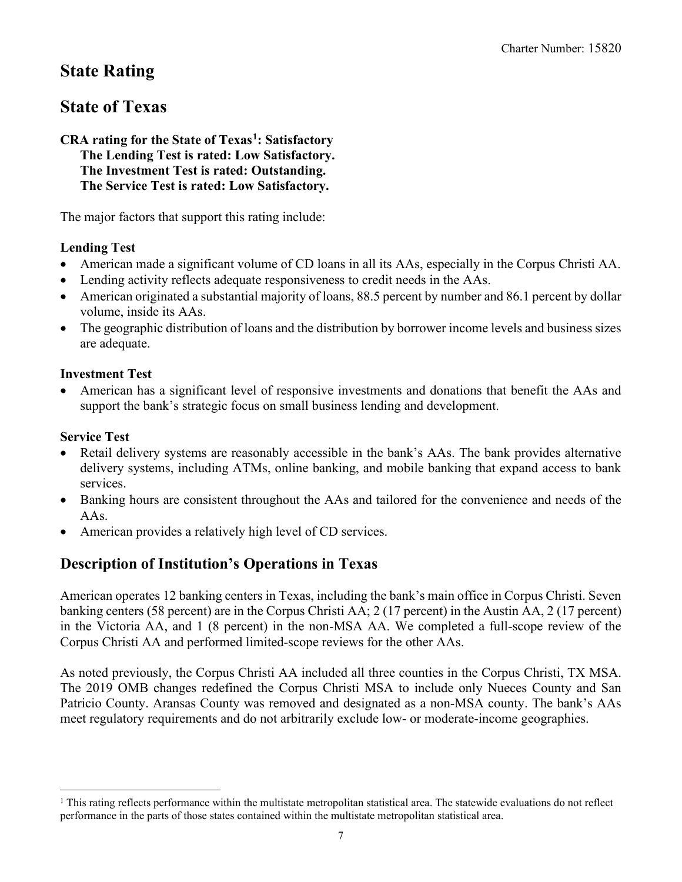# <span id="page-6-0"></span>**State Rating**

# <span id="page-6-1"></span>**State of Texas**

#### **CRA rating for the State of Texas[1](#page-6-2): Satisfactory The Lending Test is rated: Low Satisfactory. The Investment Test is rated: Outstanding. The Service Test is rated: Low Satisfactory.**

The major factors that support this rating include:

### **Lending Test**

- American made a significant volume of CD loans in all its AAs, especially in the Corpus Christi AA.
- Lending activity reflects adequate responsiveness to credit needs in the AAs.
- American originated a substantial majority of loans, 88.5 percent by number and 86.1 percent by dollar volume, inside its AAs.
- The geographic distribution of loans and the distribution by borrower income levels and business sizes are adequate.

### **Investment Test**

• American has a significant level of responsive investments and donations that benefit the AAs and support the bank's strategic focus on small business lending and development.

### **Service Test**

- Retail delivery systems are reasonably accessible in the bank's AAs. The bank provides alternative delivery systems, including ATMs, online banking, and mobile banking that expand access to bank services.
- Banking hours are consistent throughout the AAs and tailored for the convenience and needs of the AAs.
- American provides a relatively high level of CD services.

# **Description of Institution's Operations in Texas**

American operates 12 banking centers in Texas, including the bank's main office in Corpus Christi. Seven banking centers (58 percent) are in the Corpus Christi AA; 2 (17 percent) in the Austin AA, 2 (17 percent) in the Victoria AA, and 1 (8 percent) in the non-MSA AA. We completed a full-scope review of the Corpus Christi AA and performed limited-scope reviews for the other AAs.

As noted previously, the Corpus Christi AA included all three counties in the Corpus Christi, TX MSA. The 2019 OMB changes redefined the Corpus Christi MSA to include only Nueces County and San Patricio County. Aransas County was removed and designated as a non-MSA county. The bank's AAs meet regulatory requirements and do not arbitrarily exclude low- or moderate-income geographies.

<span id="page-6-2"></span> $<sup>1</sup>$  This rating reflects performance within the multistate metropolitan statistical area. The statewide evaluations do not reflect</sup> performance in the parts of those states contained within the multistate metropolitan statistical area.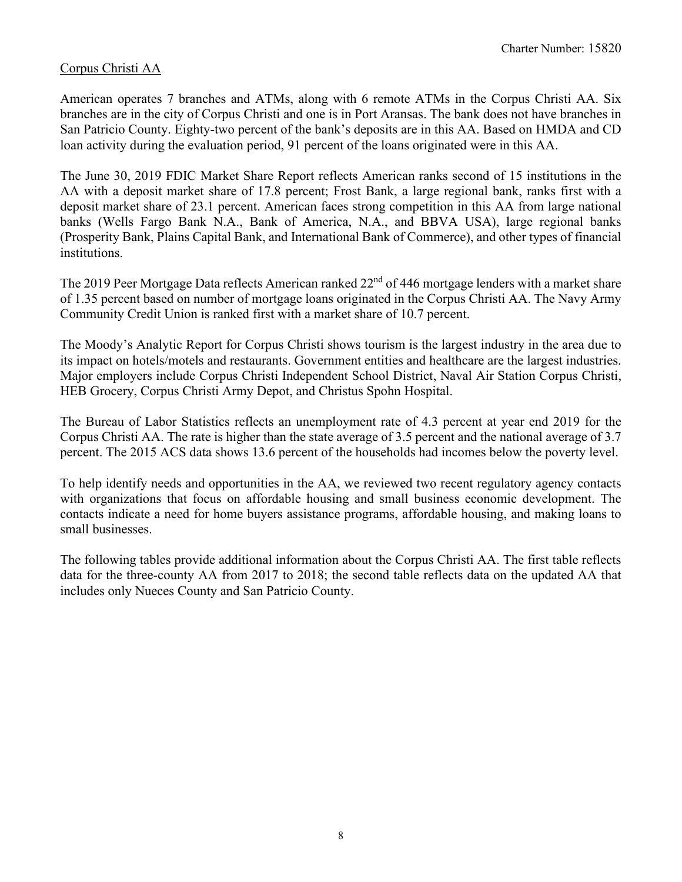### Corpus Christi AA

American operates 7 branches and ATMs, along with 6 remote ATMs in the Corpus Christi AA. Six branches are in the city of Corpus Christi and one is in Port Aransas. The bank does not have branches in San Patricio County. Eighty-two percent of the bank's deposits are in this AA. Based on HMDA and CD loan activity during the evaluation period, 91 percent of the loans originated were in this AA.

The June 30, 2019 FDIC Market Share Report reflects American ranks second of 15 institutions in the AA with a deposit market share of 17.8 percent; Frost Bank, a large regional bank, ranks first with a deposit market share of 23.1 percent. American faces strong competition in this AA from large national banks (Wells Fargo Bank N.A., Bank of America, N.A., and BBVA USA), large regional banks (Prosperity Bank, Plains Capital Bank, and International Bank of Commerce), and other types of financial institutions.

The 2019 Peer Mortgage Data reflects American ranked 22<sup>nd</sup> of 446 mortgage lenders with a market share of 1.35 percent based on number of mortgage loans originated in the Corpus Christi AA. The Navy Army Community Credit Union is ranked first with a market share of 10.7 percent.

The Moody's Analytic Report for Corpus Christi shows tourism is the largest industry in the area due to its impact on hotels/motels and restaurants. Government entities and healthcare are the largest industries. Major employers include Corpus Christi Independent School District, Naval Air Station Corpus Christi, HEB Grocery, Corpus Christi Army Depot, and Christus Spohn Hospital.

The Bureau of Labor Statistics reflects an unemployment rate of 4.3 percent at year end 2019 for the Corpus Christi AA. The rate is higher than the state average of 3.5 percent and the national average of 3.7 percent. The 2015 ACS data shows 13.6 percent of the households had incomes below the poverty level.

To help identify needs and opportunities in the AA, we reviewed two recent regulatory agency contacts with organizations that focus on affordable housing and small business economic development. The contacts indicate a need for home buyers assistance programs, affordable housing, and making loans to small businesses.

The following tables provide additional information about the Corpus Christi AA. The first table reflects data for the three-county AA from 2017 to 2018; the second table reflects data on the updated AA that includes only Nueces County and San Patricio County.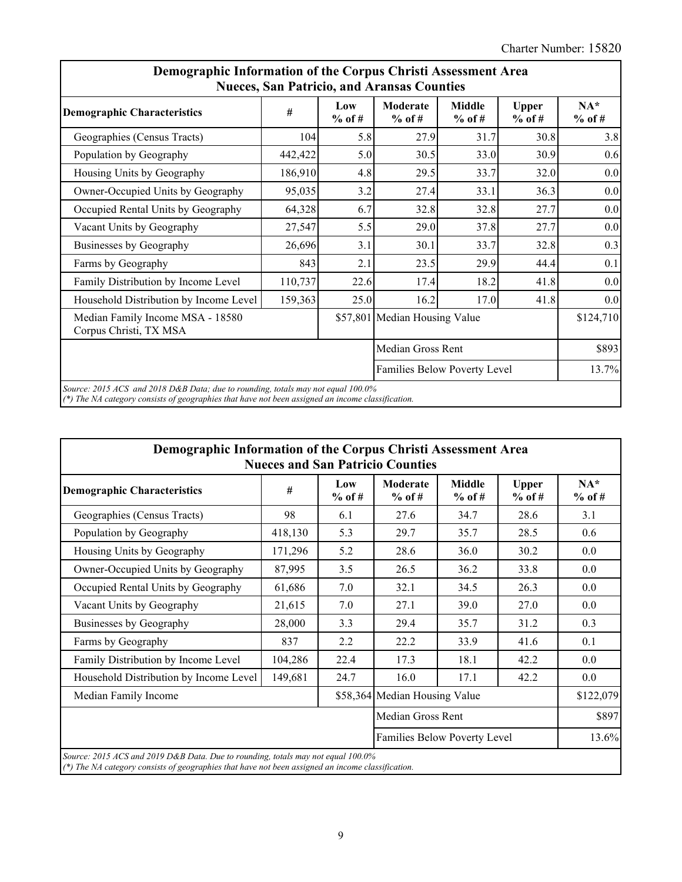| <b>Demographic Characteristics</b>                         | #       | Low      | <b>Nueces, San Patricio, and Aransas Counties</b><br>Moderate | <b>Middle</b>                | <b>Upper</b> | $NA*$     |  |
|------------------------------------------------------------|---------|----------|---------------------------------------------------------------|------------------------------|--------------|-----------|--|
|                                                            |         | $%$ of # | $%$ of #                                                      | $%$ of #                     | $%$ of #     | $%$ of #  |  |
| Geographies (Census Tracts)                                | 104     | 5.8      | 27.9                                                          | 31.7                         | 30.8         | 3.8       |  |
| Population by Geography                                    | 442,422 | 5.0      | 30.5                                                          | 33.0                         | 30.9         | 0.6       |  |
| Housing Units by Geography                                 | 186,910 | 4.8      | 29.5                                                          | 33.7                         | 32.0         | 0.0       |  |
| Owner-Occupied Units by Geography                          | 95,035  | 3.2      | 27.4                                                          | 33.1                         | 36.3         | 0.0       |  |
| Occupied Rental Units by Geography                         | 64,328  | 6.7      | 32.8                                                          | 32.8                         | 27.7         | 0.0       |  |
| Vacant Units by Geography                                  | 27,547  | 5.5      | 29.0                                                          | 37.8                         | 27.7         | 0.0       |  |
| Businesses by Geography                                    | 26,696  | 3.1      | 30.1                                                          | 33.7                         | 32.8         | 0.3       |  |
| Farms by Geography                                         | 843     | 2.1      | 23.5                                                          | 29.9                         | 44.4         | 0.1       |  |
| Family Distribution by Income Level                        | 110,737 | 22.6     | 17.4                                                          | 18.2                         | 41.8         | $0.0\,$   |  |
| Household Distribution by Income Level                     | 159,363 | 25.0     | 16.2                                                          | 17.0                         | 41.8         | 0.0       |  |
| Median Family Income MSA - 18580<br>Corpus Christi, TX MSA |         |          | \$57,801 Median Housing Value                                 |                              |              | \$124,710 |  |
|                                                            |         |          |                                                               | Median Gross Rent            |              |           |  |
|                                                            |         |          |                                                               | Families Below Poverty Level |              |           |  |

| Demographic Information of the Corpus Christi Assessment Area<br><b>Nueces and San Patricio Counties</b>                                                                              |         |                 |                               |                           |                          |                   |  |  |  |  |
|---------------------------------------------------------------------------------------------------------------------------------------------------------------------------------------|---------|-----------------|-------------------------------|---------------------------|--------------------------|-------------------|--|--|--|--|
| <b>Demographic Characteristics</b>                                                                                                                                                    | #       | Low<br>$%$ of # | Moderate<br>$%$ of #          | <b>Middle</b><br>$%$ of # | <b>Upper</b><br>$%$ of # | $NA*$<br>$%$ of # |  |  |  |  |
| Geographies (Census Tracts)                                                                                                                                                           | 98      | 6.1             | 27.6                          | 34.7                      | 28.6                     | 3.1               |  |  |  |  |
| Population by Geography                                                                                                                                                               | 418,130 | 5.3             | 29.7                          | 35.7                      | 28.5                     | 0.6               |  |  |  |  |
| Housing Units by Geography                                                                                                                                                            | 171,296 | 5.2             | 28.6                          | 36.0                      | 30.2                     | 0.0               |  |  |  |  |
| Owner-Occupied Units by Geography                                                                                                                                                     | 87,995  | 3.5             | 26.5                          | 36.2                      | 33.8                     | 0.0               |  |  |  |  |
| Occupied Rental Units by Geography                                                                                                                                                    | 61,686  | 7.0             | 32.1                          | 34.5                      | 26.3                     | 0.0               |  |  |  |  |
| Vacant Units by Geography                                                                                                                                                             | 21,615  | 7.0             | 27.1                          | 39.0                      | 27.0                     | 0.0               |  |  |  |  |
| Businesses by Geography                                                                                                                                                               | 28,000  | 3.3             | 29.4                          | 35.7                      | 31.2                     | 0.3               |  |  |  |  |
| Farms by Geography                                                                                                                                                                    | 837     | 2.2             | 22.2                          | 33.9                      | 41.6                     | 0.1               |  |  |  |  |
| Family Distribution by Income Level                                                                                                                                                   | 104,286 | 22.4            | 17.3                          | 18.1                      | 42.2                     | 0.0               |  |  |  |  |
| Household Distribution by Income Level                                                                                                                                                | 149,681 | 24.7            | 16.0                          | 17.1                      | 42.2                     | $0.0\,$           |  |  |  |  |
| Median Family Income                                                                                                                                                                  |         |                 | \$58,364 Median Housing Value |                           |                          | \$122,079         |  |  |  |  |
|                                                                                                                                                                                       |         |                 | Median Gross Rent             |                           |                          | \$897             |  |  |  |  |
|                                                                                                                                                                                       |         |                 | Families Below Poverty Level  |                           |                          | 13.6%             |  |  |  |  |
| Source: 2015 ACS and 2019 D&B Data. Due to rounding, totals may not equal 100.0%<br>(*) The NA category consists of geographies that have not been assigned an income classification. |         |                 |                               |                           |                          |                   |  |  |  |  |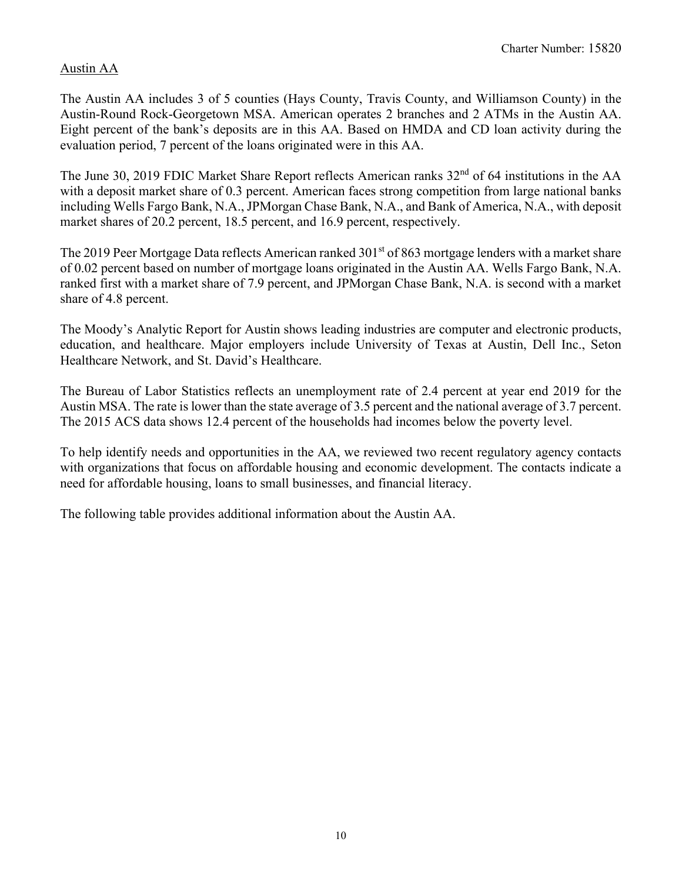### Austin AA

The Austin AA includes 3 of 5 counties (Hays County, Travis County, and Williamson County) in the Austin-Round Rock-Georgetown MSA. American operates 2 branches and 2 ATMs in the Austin AA. Eight percent of the bank's deposits are in this AA. Based on HMDA and CD loan activity during the evaluation period, 7 percent of the loans originated were in this AA.

The June 30, 2019 FDIC Market Share Report reflects American ranks 32<sup>nd</sup> of 64 institutions in the AA with a deposit market share of 0.3 percent. American faces strong competition from large national banks including Wells Fargo Bank, N.A., JPMorgan Chase Bank, N.A., and Bank of America, N.A., with deposit market shares of 20.2 percent, 18.5 percent, and 16.9 percent, respectively.

The 2019 Peer Mortgage Data reflects American ranked  $301<sup>st</sup>$  of 863 mortgage lenders with a market share of 0.02 percent based on number of mortgage loans originated in the Austin AA. Wells Fargo Bank, N.A. ranked first with a market share of 7.9 percent, and JPMorgan Chase Bank, N.A. is second with a market share of 4.8 percent.

The Moody's Analytic Report for Austin shows leading industries are computer and electronic products, education, and healthcare. Major employers include University of Texas at Austin, Dell Inc., Seton Healthcare Network, and St. David's Healthcare.

The Bureau of Labor Statistics reflects an unemployment rate of 2.4 percent at year end 2019 for the Austin MSA. The rate is lower than the state average of 3.5 percent and the national average of 3.7 percent. The 2015 ACS data shows 12.4 percent of the households had incomes below the poverty level.

To help identify needs and opportunities in the AA, we reviewed two recent regulatory agency contacts with organizations that focus on affordable housing and economic development. The contacts indicate a need for affordable housing, loans to small businesses, and financial literacy.

The following table provides additional information about the Austin AA.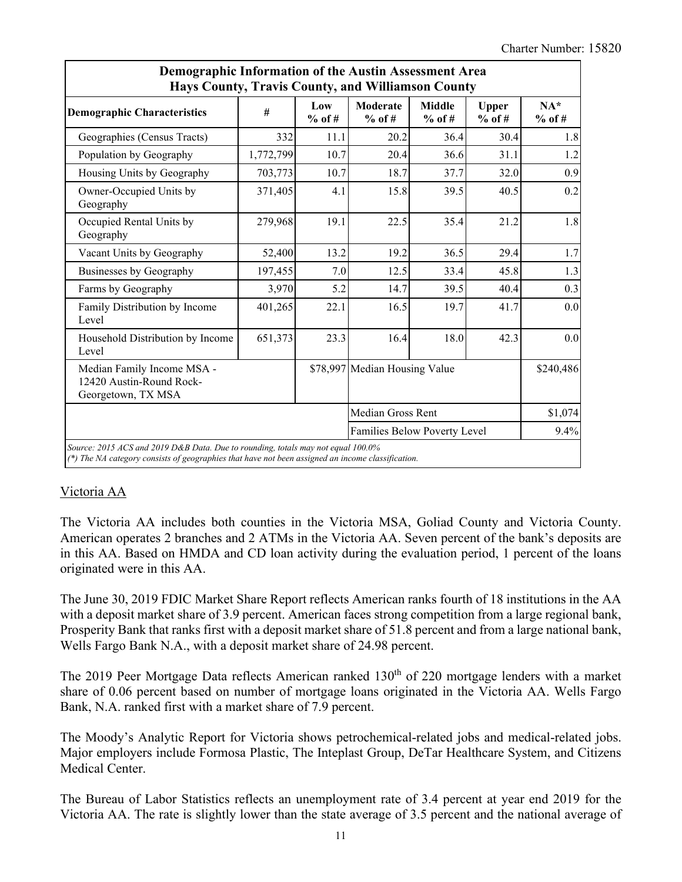|                                                                              | Demographic Information of the Austin Assessment Area<br>Hays County, Travis County, and Williamson County |                 |                               |                           |                          |                   |  |  |  |  |  |  |
|------------------------------------------------------------------------------|------------------------------------------------------------------------------------------------------------|-----------------|-------------------------------|---------------------------|--------------------------|-------------------|--|--|--|--|--|--|
| <b>Demographic Characteristics</b>                                           | #                                                                                                          | Low<br>$%$ of # | Moderate<br>$%$ of #          | <b>Middle</b><br>$%$ of # | <b>Upper</b><br>$%$ of # | $NA*$<br>$%$ of # |  |  |  |  |  |  |
| Geographies (Census Tracts)                                                  | 332                                                                                                        | 11.1            | 20.2                          | 36.4                      | 30.4                     | 1.8               |  |  |  |  |  |  |
| Population by Geography                                                      | 1,772,799                                                                                                  | 10.7            | 20.4                          | 36.6                      | 31.1                     | 1.2               |  |  |  |  |  |  |
| Housing Units by Geography                                                   | 703,773                                                                                                    | 10.7            | 18.7                          | 37.7                      | 32.0                     | 0.9               |  |  |  |  |  |  |
| Owner-Occupied Units by<br>Geography                                         | 371,405                                                                                                    | 4.1             | 15.8                          | 39.5                      | 40.5                     | 0.2               |  |  |  |  |  |  |
| Occupied Rental Units by<br>Geography                                        | 279,968                                                                                                    | 19.1            | 22.5                          | 35.4                      | 21.2                     | 1.8               |  |  |  |  |  |  |
| Vacant Units by Geography                                                    | 52,400                                                                                                     | 13.2            | 19.2                          | 36.5                      | 29.4                     | 1.7               |  |  |  |  |  |  |
| Businesses by Geography                                                      | 197,455                                                                                                    | 7.0             | 12.5                          | 33.4                      | 45.8                     | 1.3               |  |  |  |  |  |  |
| Farms by Geography                                                           | 3,970                                                                                                      | 5.2             | 14.7                          | 39.5                      | 40.4                     | 0.3               |  |  |  |  |  |  |
| Family Distribution by Income<br>Level                                       | 401,265                                                                                                    | 22.1            | 16.5                          | 19.7                      | 41.7                     | 0.0               |  |  |  |  |  |  |
| Household Distribution by Income<br>Level                                    | 651,373                                                                                                    | 23.3            | 16.4                          | 18.0                      | 42.3                     | $0.0\,$           |  |  |  |  |  |  |
| Median Family Income MSA -<br>12420 Austin-Round Rock-<br>Georgetown, TX MSA |                                                                                                            |                 | \$78,997 Median Housing Value |                           |                          | \$240,486         |  |  |  |  |  |  |
|                                                                              |                                                                                                            |                 | Median Gross Rent             |                           |                          | \$1,074           |  |  |  |  |  |  |
|                                                                              |                                                                                                            |                 | Families Below Poverty Level  |                           |                          | 9.4%              |  |  |  |  |  |  |

### Victoria AA

The Victoria AA includes both counties in the Victoria MSA, Goliad County and Victoria County. American operates 2 branches and 2 ATMs in the Victoria AA. Seven percent of the bank's deposits are in this AA. Based on HMDA and CD loan activity during the evaluation period, 1 percent of the loans originated were in this AA.

The June 30, 2019 FDIC Market Share Report reflects American ranks fourth of 18 institutions in the AA with a deposit market share of 3.9 percent. American faces strong competition from a large regional bank, Prosperity Bank that ranks first with a deposit market share of 51.8 percent and from a large national bank, Wells Fargo Bank N.A., with a deposit market share of 24.98 percent.

The 2019 Peer Mortgage Data reflects American ranked 130<sup>th</sup> of 220 mortgage lenders with a market share of 0.06 percent based on number of mortgage loans originated in the Victoria AA. Wells Fargo Bank, N.A. ranked first with a market share of 7.9 percent.

The Moody's Analytic Report for Victoria shows petrochemical-related jobs and medical-related jobs. Major employers include Formosa Plastic, The Inteplast Group, DeTar Healthcare System, and Citizens Medical Center.

The Bureau of Labor Statistics reflects an unemployment rate of 3.4 percent at year end 2019 for the Victoria AA. The rate is slightly lower than the state average of 3.5 percent and the national average of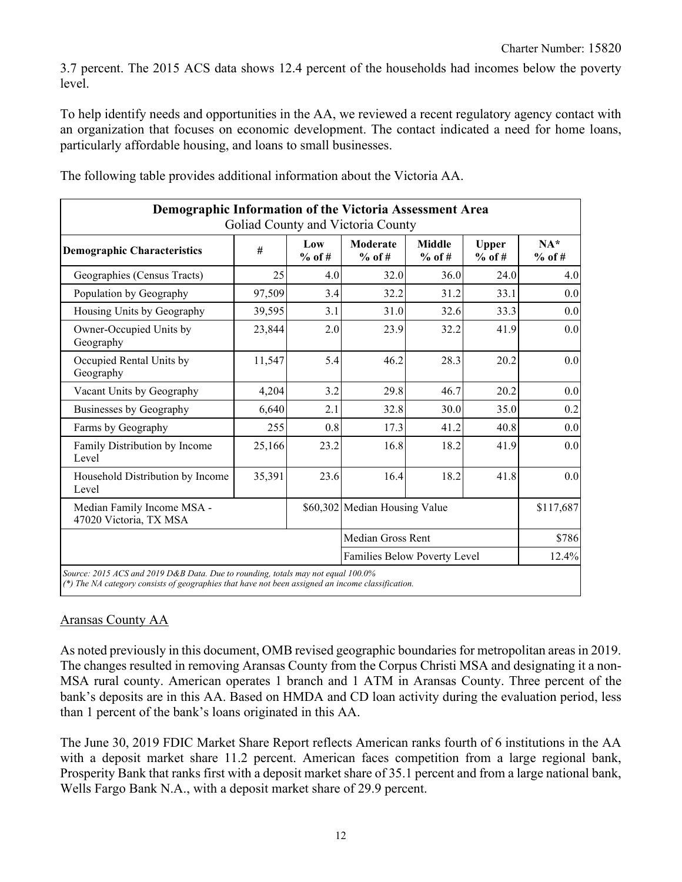3.7 percent. The 2015 ACS data shows 12.4 percent of the households had incomes below the poverty level.

To help identify needs and opportunities in the AA, we reviewed a recent regulatory agency contact with an organization that focuses on economic development. The contact indicated a need for home loans, particularly affordable housing, and loans to small businesses.

| Demographic Information of the Victoria Assessment Area<br>Goliad County and Victoria County |        |                 |                               |                           |                          |                   |  |  |  |  |
|----------------------------------------------------------------------------------------------|--------|-----------------|-------------------------------|---------------------------|--------------------------|-------------------|--|--|--|--|
| <b>Demographic Characteristics</b>                                                           | #      | Low<br>$%$ of # | <b>Moderate</b><br>$%$ of #   | <b>Middle</b><br>$%$ of # | <b>Upper</b><br>$%$ of # | $NA*$<br>$%$ of # |  |  |  |  |
| Geographies (Census Tracts)                                                                  | 25     | 4.0             | 32.0                          | 36.0                      | 24.0                     | 4.0               |  |  |  |  |
| Population by Geography                                                                      | 97,509 | 3.4             | 32.2                          | 31.2                      | 33.1                     | 0.0               |  |  |  |  |
| Housing Units by Geography                                                                   | 39,595 | 3.1             | 31.0                          | 32.6                      | 33.3                     | 0.0               |  |  |  |  |
| Owner-Occupied Units by<br>Geography                                                         | 23,844 | 2.0             | 23.9                          | 32.2                      | 41.9                     | 0.0               |  |  |  |  |
| Occupied Rental Units by<br>Geography                                                        | 11,547 | 5.4             | 46.2                          | 28.3                      | 20.2                     | 0.0               |  |  |  |  |
| Vacant Units by Geography                                                                    | 4,204  | 3.2             | 29.8                          | 46.7                      | 20.2                     | 0.0               |  |  |  |  |
| Businesses by Geography                                                                      | 6,640  | 2.1             | 32.8                          | 30.0                      | 35.0                     | 0.2               |  |  |  |  |
| Farms by Geography                                                                           | 255    | 0.8             | 17.3                          | 41.2                      | 40.8                     | 0.0               |  |  |  |  |
| Family Distribution by Income<br>Level                                                       | 25,166 | 23.2            | 16.8                          | 18.2                      | 41.9                     | 0.0               |  |  |  |  |
| Household Distribution by Income<br>Level                                                    | 35,391 | 23.6            | 16.4                          | 18.2                      | 41.8                     | 0.0               |  |  |  |  |
| Median Family Income MSA -<br>47020 Victoria, TX MSA                                         |        |                 | \$60,302 Median Housing Value |                           |                          | \$117,687         |  |  |  |  |
|                                                                                              |        |                 | Median Gross Rent             |                           |                          | \$786             |  |  |  |  |
|                                                                                              |        |                 | Families Below Poverty Level  |                           |                          | 12.4%             |  |  |  |  |

The following table provides additional information about the Victoria AA.

### Aransas County AA

As noted previously in this document, OMB revised geographic boundaries for metropolitan areas in 2019. The changes resulted in removing Aransas County from the Corpus Christi MSA and designating it a non-MSA rural county. American operates 1 branch and 1 ATM in Aransas County. Three percent of the bank's deposits are in this AA. Based on HMDA and CD loan activity during the evaluation period, less than 1 percent of the bank's loans originated in this AA.

The June 30, 2019 FDIC Market Share Report reflects American ranks fourth of 6 institutions in the AA with a deposit market share 11.2 percent. American faces competition from a large regional bank, Prosperity Bank that ranks first with a deposit market share of 35.1 percent and from a large national bank, Wells Fargo Bank N.A., with a deposit market share of 29.9 percent.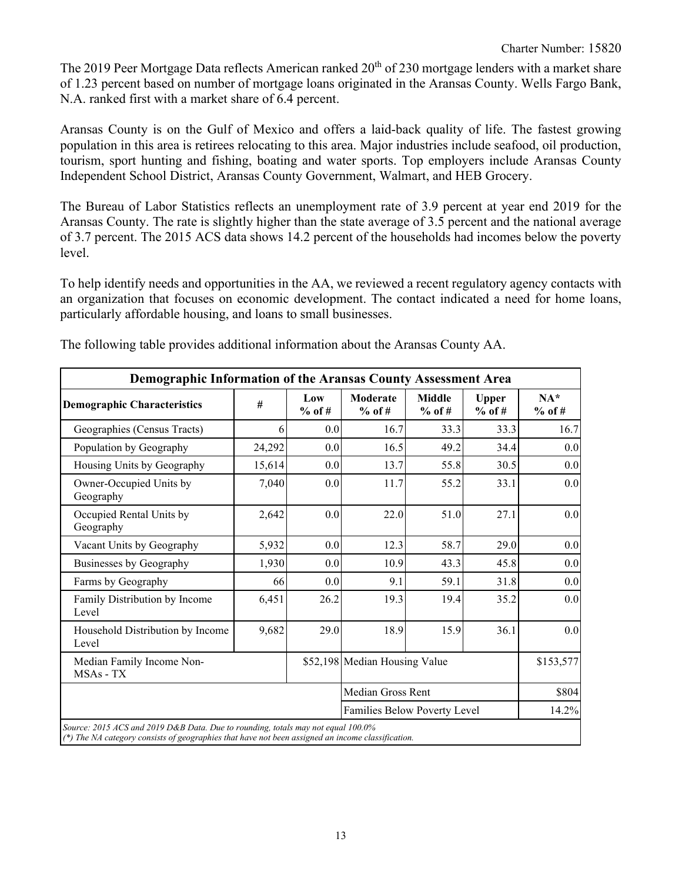The 2019 Peer Mortgage Data reflects American ranked 20<sup>th</sup> of 230 mortgage lenders with a market share of 1.23 percent based on number of mortgage loans originated in the Aransas County. Wells Fargo Bank, N.A. ranked first with a market share of 6.4 percent.

Aransas County is on the Gulf of Mexico and offers a laid-back quality of life. The fastest growing population in this area is retirees relocating to this area. Major industries include seafood, oil production, tourism, sport hunting and fishing, boating and water sports. Top employers include Aransas County Independent School District, Aransas County Government, Walmart, and HEB Grocery.

The Bureau of Labor Statistics reflects an unemployment rate of 3.9 percent at year end 2019 for the Aransas County. The rate is slightly higher than the state average of 3.5 percent and the national average of 3.7 percent. The 2015 ACS data shows 14.2 percent of the households had incomes below the poverty level.

To help identify needs and opportunities in the AA, we reviewed a recent regulatory agency contacts with an organization that focuses on economic development. The contact indicated a need for home loans, particularly affordable housing, and loans to small businesses.

| Demographic Information of the Aransas County Assessment Area |        |                 |                               |                           |                          |                   |  |  |  |  |
|---------------------------------------------------------------|--------|-----------------|-------------------------------|---------------------------|--------------------------|-------------------|--|--|--|--|
| <b>Demographic Characteristics</b>                            | #      | Low<br>$%$ of # | <b>Moderate</b><br>$%$ of #   | <b>Middle</b><br>$%$ of # | <b>Upper</b><br>$%$ of # | $NA*$<br>$%$ of # |  |  |  |  |
| Geographies (Census Tracts)                                   | 6      | 0.0             | 16.7                          | 33.3                      | 33.3                     | 16.7              |  |  |  |  |
| Population by Geography                                       | 24,292 | 0.0             | 16.5                          | 49.2                      | 34.4                     | 0.0               |  |  |  |  |
| Housing Units by Geography                                    | 15,614 | 0.0             | 13.7                          | 55.8                      | 30.5                     | 0.0               |  |  |  |  |
| Owner-Occupied Units by<br>Geography                          | 7,040  | 0.0             | 11.7                          | 55.2                      | 33.1                     | 0.0               |  |  |  |  |
| Occupied Rental Units by<br>Geography                         | 2,642  | 0.0             | 22.0                          | 51.0                      | 27.1                     | 0.0               |  |  |  |  |
| Vacant Units by Geography                                     | 5,932  | 0.0             | 12.3                          | 58.7                      | 29.0                     | 0.0               |  |  |  |  |
| Businesses by Geography                                       | 1,930  | 0.0             | 10.9                          | 43.3                      | 45.8                     | 0.0               |  |  |  |  |
| Farms by Geography                                            | 66     | 0.0             | 9.1                           | 59.1                      | 31.8                     | 0.0               |  |  |  |  |
| Family Distribution by Income<br>Level                        | 6,451  | 26.2            | 19.3                          | 19.4                      | 35.2                     | $0.0\,$           |  |  |  |  |
| Household Distribution by Income<br>Level                     | 9,682  | 29.0            | 18.9                          | 15.9                      | 36.1                     | 0.0               |  |  |  |  |
| Median Family Income Non-<br>MSAs - TX                        |        |                 | \$52,198 Median Housing Value |                           |                          | \$153,577         |  |  |  |  |
|                                                               |        |                 | Median Gross Rent             |                           |                          | \$804             |  |  |  |  |
|                                                               |        |                 | Families Below Poverty Level  |                           |                          | 14.2%             |  |  |  |  |

The following table provides additional information about the Aransas County AA.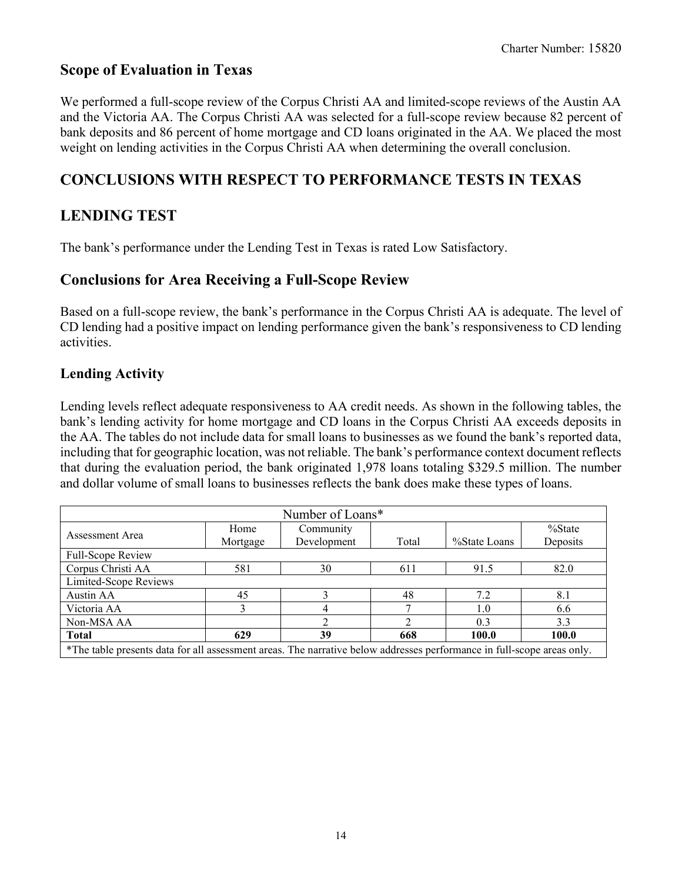# **Scope of Evaluation in Texas**

We performed a full-scope review of the Corpus Christi AA and limited-scope reviews of the Austin AA and the Victoria AA. The Corpus Christi AA was selected for a full-scope review because 82 percent of bank deposits and 86 percent of home mortgage and CD loans originated in the AA. We placed the most weight on lending activities in the Corpus Christi AA when determining the overall conclusion.

# **CONCLUSIONS WITH RESPECT TO PERFORMANCE TESTS IN TEXAS**

# **LENDING TEST**

The bank's performance under the Lending Test in Texas is rated Low Satisfactory.

# **Conclusions for Area Receiving a Full-Scope Review**

Based on a full-scope review, the bank's performance in the Corpus Christi AA is adequate. The level of CD lending had a positive impact on lending performance given the bank's responsiveness to CD lending activities.

# **Lending Activity**

Lending levels reflect adequate responsiveness to AA credit needs. As shown in the following tables, the bank's lending activity for home mortgage and CD loans in the Corpus Christi AA exceeds deposits in the AA. The tables do not include data for small loans to businesses as we found the bank's reported data, including that for geographic location, was not reliable. The bank's performance context document reflects that during the evaluation period, the bank originated 1,978 loans totaling \$329.5 million. The number and dollar volume of small loans to businesses reflects the bank does make these types of loans.

| Number of Loans*                                                                                                       |          |             |       |              |          |  |  |  |  |
|------------------------------------------------------------------------------------------------------------------------|----------|-------------|-------|--------------|----------|--|--|--|--|
| Assessment Area                                                                                                        | Home     | Community   |       |              | % State  |  |  |  |  |
|                                                                                                                        | Mortgage | Development | Total | %State Loans | Deposits |  |  |  |  |
| Full-Scope Review                                                                                                      |          |             |       |              |          |  |  |  |  |
| Corpus Christi AA                                                                                                      | 581      | 30          | 611   | 91.5         | 82.0     |  |  |  |  |
| Limited-Scope Reviews                                                                                                  |          |             |       |              |          |  |  |  |  |
| Austin AA                                                                                                              | 45       | 3           | 48    | 7.2          | 8.1      |  |  |  |  |
| Victoria AA                                                                                                            |          |             |       | 1.0          | 6.6      |  |  |  |  |
| Non-MSA AA                                                                                                             |          |             |       | 0.3          | 3.3      |  |  |  |  |
| <b>Total</b>                                                                                                           | 629      | 39          | 668   | 100.0        | 100.0    |  |  |  |  |
| *The table presents data for all assessment areas. The narrative below addresses performance in full-scope areas only. |          |             |       |              |          |  |  |  |  |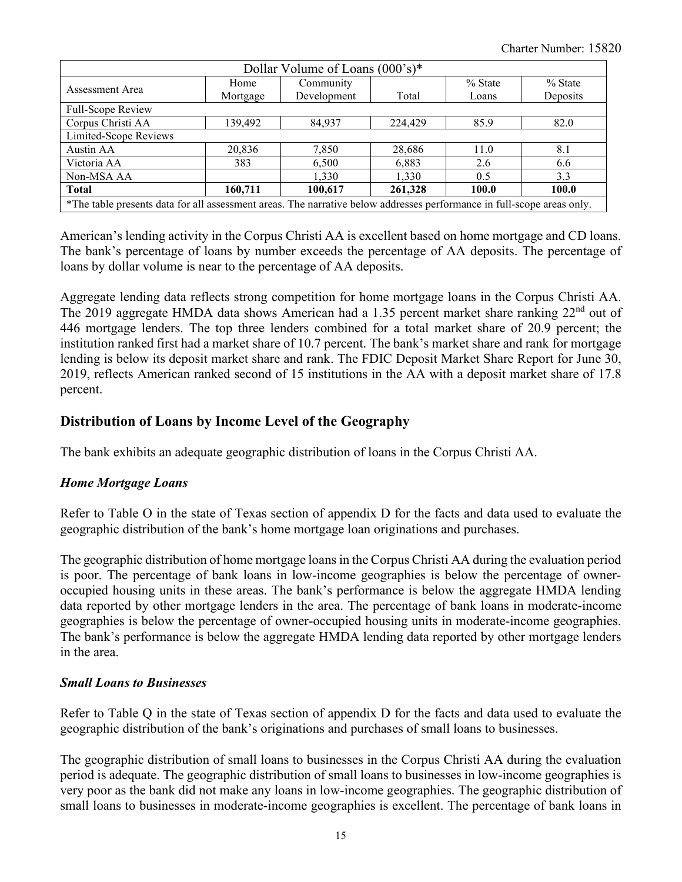| Dollar Volume of Loans (000's)*                                                                                        |          |             |         |           |           |  |  |  |  |
|------------------------------------------------------------------------------------------------------------------------|----------|-------------|---------|-----------|-----------|--|--|--|--|
| Assessment Area                                                                                                        | Home     | Community   |         | $%$ State | $%$ State |  |  |  |  |
|                                                                                                                        | Mortgage | Development | Total   | Loans     | Deposits  |  |  |  |  |
| Full-Scope Review                                                                                                      |          |             |         |           |           |  |  |  |  |
| Corpus Christi AA                                                                                                      | 139,492  | 84,937      | 224,429 | 85.9      | 82.0      |  |  |  |  |
| Limited-Scope Reviews                                                                                                  |          |             |         |           |           |  |  |  |  |
| Austin AA                                                                                                              | 20,836   | 7,850       | 28,686  | 11.0      | 8.1       |  |  |  |  |
| Victoria AA                                                                                                            | 383      | 6,500       | 6,883   | 2.6       | 6.6       |  |  |  |  |
| Non-MSA AA                                                                                                             |          | 1,330       | 1,330   | 0.5       | 3.3       |  |  |  |  |
| <b>Total</b>                                                                                                           | 160,711  | 100,617     | 261,328 | 100.0     | 100.0     |  |  |  |  |
| *The table presents data for all assessment areas. The narrative below addresses performance in full-scope areas only. |          |             |         |           |           |  |  |  |  |

American's lending activity in the Corpus Christi AA is excellent based on home mortgage and CD loans. The bank's percentage of loans by number exceeds the percentage of AA deposits. The percentage of loans by dollar volume is near to the percentage of AA deposits.

Aggregate lending data reflects strong competition for home mortgage loans in the Corpus Christi AA. The 2019 aggregate HMDA data shows American had a 1.35 percent market share ranking 22<sup>nd</sup> out of 446 mortgage lenders. The top three lenders combined for a total market share of 20.9 percent; the institution ranked first had a market share of 10.7 percent. The bank's market share and rank for mortgage lending is below its deposit market share and rank. The FDIC Deposit Market Share Report for June 30, 2019, reflects American ranked second of 15 institutions in the AA with a deposit market share of 17.8 percent.

## **Distribution of Loans by Income Level of the Geography**

The bank exhibits an adequate geographic distribution of loans in the Corpus Christi AA.

### *Home Mortgage Loans*

Refer to Table O in the state of Texas section of appendix D for the facts and data used to evaluate the geographic distribution of the bank's home mortgage loan originations and purchases.

The geographic distribution of home mortgage loans in the Corpus Christi AA during the evaluation period is poor. The percentage of bank loans in low-income geographies is below the percentage of owneroccupied housing units in these areas. The bank's performance is below the aggregate HMDA lending data reported by other mortgage lenders in the area. The percentage of bank loans in moderate-income geographies is below the percentage of owner-occupied housing units in moderate-income geographies. The bank's performance is below the aggregate HMDA lending data reported by other mortgage lenders in the area.

#### *Small Loans to Businesses*

Refer to Table Q in the state of Texas section of appendix D for the facts and data used to evaluate the geographic distribution of the bank's originations and purchases of small loans to businesses.

The geographic distribution of small loans to businesses in the Corpus Christi AA during the evaluation period is adequate. The geographic distribution of small loans to businesses in low-income geographies is very poor as the bank did not make any loans in low-income geographies. The geographic distribution of small loans to businesses in moderate-income geographies is excellent. The percentage of bank loans in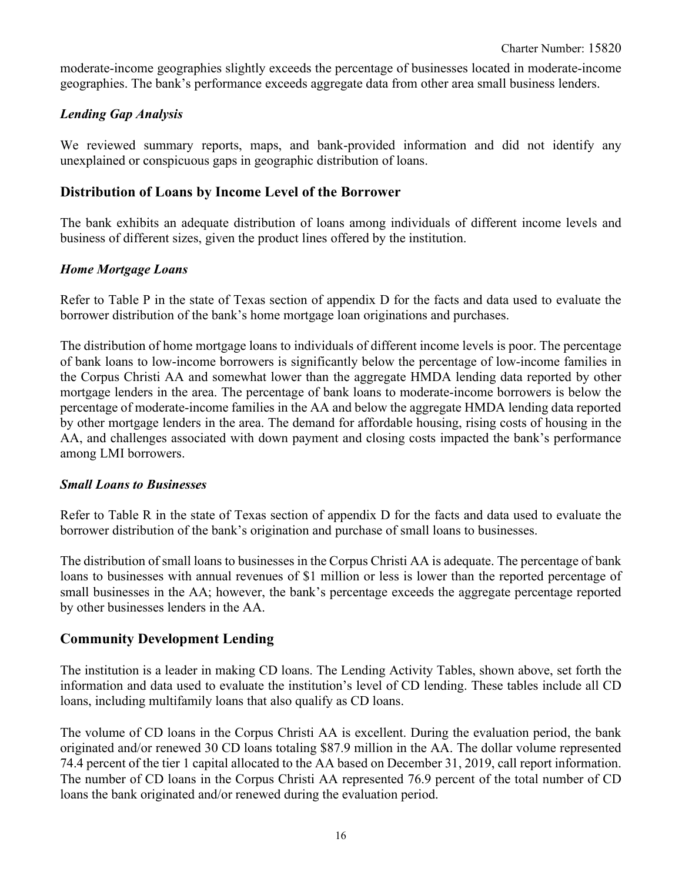moderate-income geographies slightly exceeds the percentage of businesses located in moderate-income geographies. The bank's performance exceeds aggregate data from other area small business lenders.

#### *Lending Gap Analysis*

We reviewed summary reports, maps, and bank-provided information and did not identify any unexplained or conspicuous gaps in geographic distribution of loans.

#### **Distribution of Loans by Income Level of the Borrower**

The bank exhibits an adequate distribution of loans among individuals of different income levels and business of different sizes, given the product lines offered by the institution.

#### *Home Mortgage Loans*

Refer to Table P in the state of Texas section of appendix D for the facts and data used to evaluate the borrower distribution of the bank's home mortgage loan originations and purchases.

The distribution of home mortgage loans to individuals of different income levels is poor. The percentage of bank loans to low-income borrowers is significantly below the percentage of low-income families in the Corpus Christi AA and somewhat lower than the aggregate HMDA lending data reported by other mortgage lenders in the area. The percentage of bank loans to moderate-income borrowers is below the percentage of moderate-income families in the AA and below the aggregate HMDA lending data reported by other mortgage lenders in the area. The demand for affordable housing, rising costs of housing in the AA, and challenges associated with down payment and closing costs impacted the bank's performance among LMI borrowers.

#### *Small Loans to Businesses*

Refer to Table R in the state of Texas section of appendix D for the facts and data used to evaluate the borrower distribution of the bank's origination and purchase of small loans to businesses.

The distribution of small loans to businesses in the Corpus Christi AA is adequate. The percentage of bank loans to businesses with annual revenues of \$1 million or less is lower than the reported percentage of small businesses in the AA; however, the bank's percentage exceeds the aggregate percentage reported by other businesses lenders in the AA.

#### **Community Development Lending**

The institution is a leader in making CD loans. The Lending Activity Tables, shown above, set forth the information and data used to evaluate the institution's level of CD lending. These tables include all CD loans, including multifamily loans that also qualify as CD loans.

The volume of CD loans in the Corpus Christi AA is excellent. During the evaluation period, the bank originated and/or renewed 30 CD loans totaling \$87.9 million in the AA. The dollar volume represented 74.4 percent of the tier 1 capital allocated to the AA based on December 31, 2019, call report information. The number of CD loans in the Corpus Christi AA represented 76.9 percent of the total number of CD loans the bank originated and/or renewed during the evaluation period.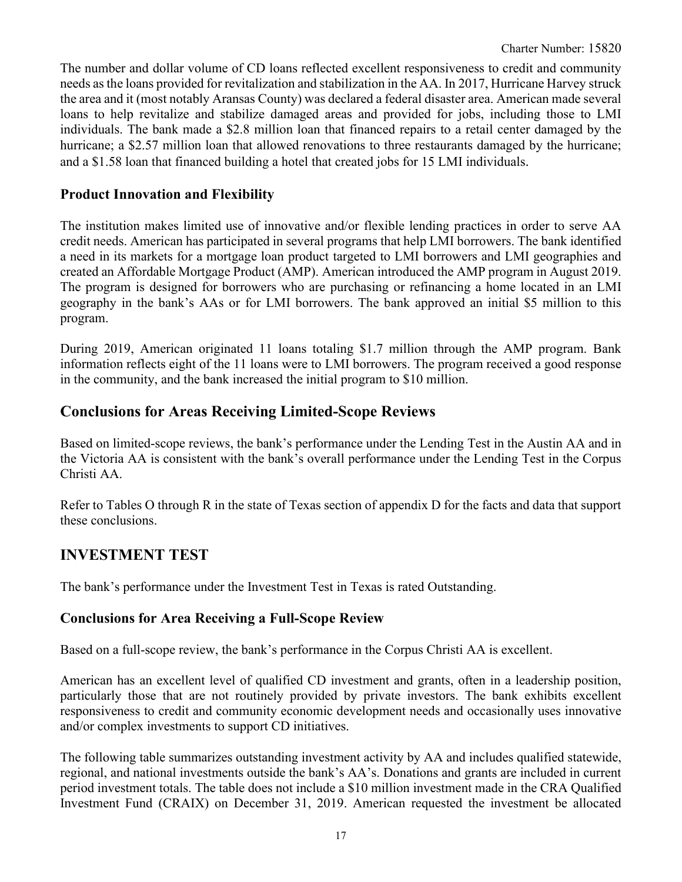The number and dollar volume of CD loans reflected excellent responsiveness to credit and community needs as the loans provided for revitalization and stabilization in the AA. In 2017, Hurricane Harvey struck the area and it (most notably Aransas County) was declared a federal disaster area. American made several loans to help revitalize and stabilize damaged areas and provided for jobs, including those to LMI individuals. The bank made a \$2.8 million loan that financed repairs to a retail center damaged by the hurricane; a \$2.57 million loan that allowed renovations to three restaurants damaged by the hurricane; and a \$1.58 loan that financed building a hotel that created jobs for 15 LMI individuals.

# **Product Innovation and Flexibility**

The institution makes limited use of innovative and/or flexible lending practices in order to serve AA credit needs. American has participated in several programs that help LMI borrowers. The bank identified a need in its markets for a mortgage loan product targeted to LMI borrowers and LMI geographies and created an Affordable Mortgage Product (AMP). American introduced the AMP program in August 2019. The program is designed for borrowers who are purchasing or refinancing a home located in an LMI geography in the bank's AAs or for LMI borrowers. The bank approved an initial \$5 million to this program.

During 2019, American originated 11 loans totaling \$1.7 million through the AMP program. Bank information reflects eight of the 11 loans were to LMI borrowers. The program received a good response in the community, and the bank increased the initial program to \$10 million.

# **Conclusions for Areas Receiving Limited-Scope Reviews**

Based on limited-scope reviews, the bank's performance under the Lending Test in the Austin AA and in the Victoria AA is consistent with the bank's overall performance under the Lending Test in the Corpus Christi AA.

Refer to Tables O through R in the state of Texas section of appendix D for the facts and data that support these conclusions.

# **INVESTMENT TEST**

The bank's performance under the Investment Test in Texas is rated Outstanding.

## **Conclusions for Area Receiving a Full-Scope Review**

Based on a full-scope review, the bank's performance in the Corpus Christi AA is excellent.

American has an excellent level of qualified CD investment and grants, often in a leadership position, particularly those that are not routinely provided by private investors. The bank exhibits excellent responsiveness to credit and community economic development needs and occasionally uses innovative and/or complex investments to support CD initiatives.

The following table summarizes outstanding investment activity by AA and includes qualified statewide, regional, and national investments outside the bank's AA's. Donations and grants are included in current period investment totals. The table does not include a \$10 million investment made in the CRA Qualified Investment Fund (CRAIX) on December 31, 2019. American requested the investment be allocated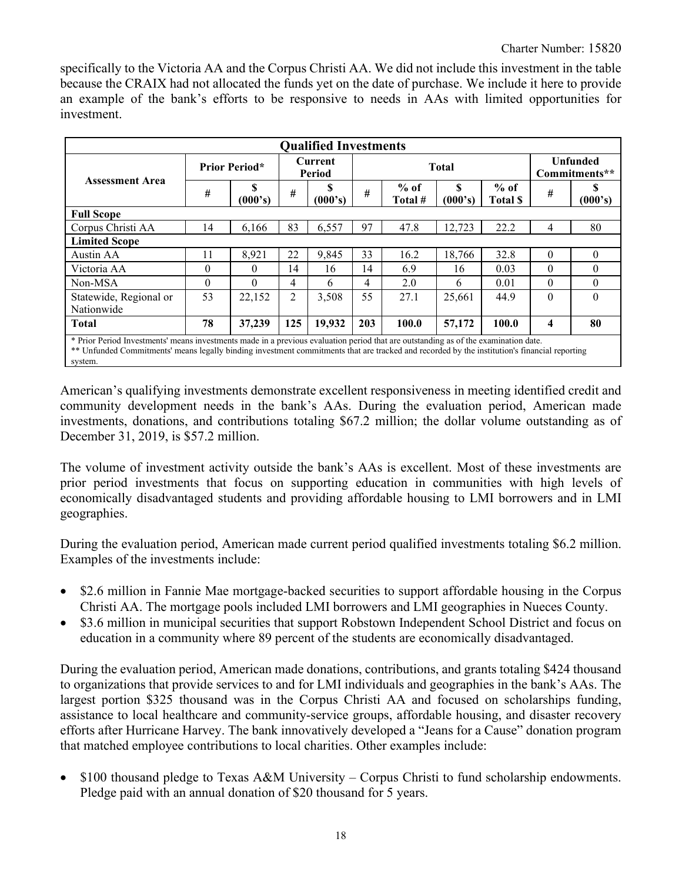specifically to the Victoria AA and the Corpus Christi AA. We did not include this investment in the table because the CRAIX had not allocated the funds yet on the date of purchase. We include it here to provide an example of the bank's efforts to be responsive to needs in AAs with limited opportunities for investment.

|                                      | <b>Qualified Investments</b>                                                                                                                                                                                                                                                        |              |                |                   |                |                   |               |                          |          |                                  |  |
|--------------------------------------|-------------------------------------------------------------------------------------------------------------------------------------------------------------------------------------------------------------------------------------------------------------------------------------|--------------|----------------|-------------------|----------------|-------------------|---------------|--------------------------|----------|----------------------------------|--|
| <b>Assessment Area</b>               | <b>Prior Period*</b>                                                                                                                                                                                                                                                                |              |                | Current<br>Period |                | <b>Total</b>      |               |                          |          | <b>Unfunded</b><br>Commitments** |  |
|                                      | #                                                                                                                                                                                                                                                                                   | S<br>(000's) | #              | S<br>(000's)      | #              | $%$ of<br>Total # | \$<br>(000's) | $%$ of<br><b>Total S</b> | #        | \$<br>(000's)                    |  |
| <b>Full Scope</b>                    |                                                                                                                                                                                                                                                                                     |              |                |                   |                |                   |               |                          |          |                                  |  |
| Corpus Christi AA                    | 14                                                                                                                                                                                                                                                                                  | 6,166        | 83             | 6,557             | 97             | 47.8              | 12,723        | 22.2                     | 4        | 80                               |  |
| <b>Limited Scope</b>                 |                                                                                                                                                                                                                                                                                     |              |                |                   |                |                   |               |                          |          |                                  |  |
| Austin AA                            | 11                                                                                                                                                                                                                                                                                  | 8.921        | 22             | 9,845             | 33             | 16.2              | 18.766        | 32.8                     | $\Omega$ | $\theta$                         |  |
| Victoria AA                          | $\Omega$                                                                                                                                                                                                                                                                            | 0            | 14             | 16                | 14             | 6.9               | 16            | 0.03                     | $\theta$ | $\theta$                         |  |
| Non-MSA                              | $\theta$                                                                                                                                                                                                                                                                            | $\Omega$     | $\overline{4}$ | 6                 | $\overline{4}$ | 2.0               | 6             | 0.01                     | $\theta$ | $\theta$                         |  |
| Statewide, Regional or<br>Nationwide | 53                                                                                                                                                                                                                                                                                  | 22,152       | 2              | 3,508             | 55             | 27.1              | 25,661        | 44.9                     | $\Omega$ | $\theta$                         |  |
| <b>Total</b>                         | 78                                                                                                                                                                                                                                                                                  | 37,239       | 125            | 19,932            | 203            | 100.0             | 57,172        | 100.0                    | 4        | 80                               |  |
| system.                              | * Prior Period Investments' means investments made in a previous evaluation period that are outstanding as of the examination date.<br>** Unfunded Commitments' means legally binding investment commitments that are tracked and recorded by the institution's financial reporting |              |                |                   |                |                   |               |                          |          |                                  |  |

American's qualifying investments demonstrate excellent responsiveness in meeting identified credit and community development needs in the bank's AAs. During the evaluation period, American made investments, donations, and contributions totaling \$67.2 million; the dollar volume outstanding as of December 31, 2019, is \$57.2 million.

The volume of investment activity outside the bank's AAs is excellent. Most of these investments are prior period investments that focus on supporting education in communities with high levels of economically disadvantaged students and providing affordable housing to LMI borrowers and in LMI geographies.

During the evaluation period, American made current period qualified investments totaling \$6.2 million. Examples of the investments include:

- \$2.6 million in Fannie Mae mortgage-backed securities to support affordable housing in the Corpus Christi AA. The mortgage pools included LMI borrowers and LMI geographies in Nueces County.
- \$3.6 million in municipal securities that support Robstown Independent School District and focus on education in a community where 89 percent of the students are economically disadvantaged.

During the evaluation period, American made donations, contributions, and grants totaling \$424 thousand to organizations that provide services to and for LMI individuals and geographies in the bank's AAs. The largest portion \$325 thousand was in the Corpus Christi AA and focused on scholarships funding, assistance to local healthcare and community-service groups, affordable housing, and disaster recovery efforts after Hurricane Harvey. The bank innovatively developed a "Jeans for a Cause" donation program that matched employee contributions to local charities. Other examples include:

• \$100 thousand pledge to Texas A&M University – Corpus Christi to fund scholarship endowments. Pledge paid with an annual donation of \$20 thousand for 5 years.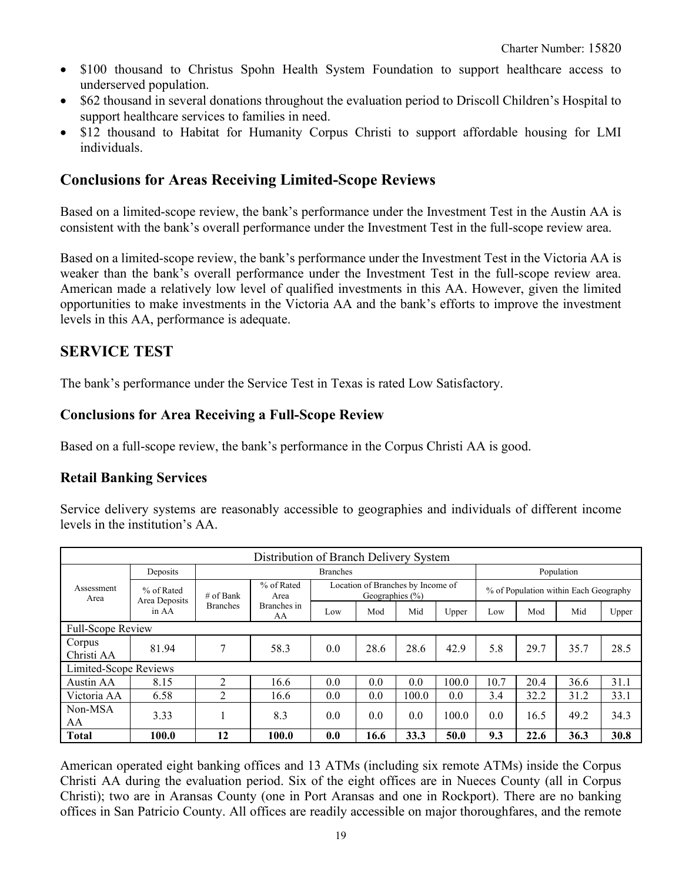- \$100 thousand to Christus Spohn Health System Foundation to support healthcare access to underserved population.
- \$62 thousand in several donations throughout the evaluation period to Driscoll Children's Hospital to support healthcare services to families in need.
- \$12 thousand to Habitat for Humanity Corpus Christi to support affordable housing for LMI individuals.

# **Conclusions for Areas Receiving Limited-Scope Reviews**

Based on a limited-scope review, the bank's performance under the Investment Test in the Austin AA is consistent with the bank's overall performance under the Investment Test in the full-scope review area.

Based on a limited-scope review, the bank's performance under the Investment Test in the Victoria AA is weaker than the bank's overall performance under the Investment Test in the full-scope review area. American made a relatively low level of qualified investments in this AA. However, given the limited opportunities to make investments in the Victoria AA and the bank's efforts to improve the investment levels in this AA, performance is adequate.

# **SERVICE TEST**

The bank's performance under the Service Test in Texas is rated Low Satisfactory.

### **Conclusions for Area Receiving a Full-Scope Review**

Based on a full-scope review, the bank's performance in the Corpus Christi AA is good.

## **Retail Banking Services**

Service delivery systems are reasonably accessible to geographies and individuals of different income levels in the institution's AA.

|                       | Distribution of Branch Delivery System |                                 |                   |     |                                                          |       |       |      |            |                                       |       |  |
|-----------------------|----------------------------------------|---------------------------------|-------------------|-----|----------------------------------------------------------|-------|-------|------|------------|---------------------------------------|-------|--|
|                       | <b>Branches</b><br>Deposits            |                                 |                   |     |                                                          |       |       |      | Population |                                       |       |  |
| Assessment<br>Area    | % of Rated                             | % of Rated<br># of Bank<br>Area |                   |     | Location of Branches by Income of<br>Geographies $(\% )$ |       |       |      |            | % of Population within Each Geography |       |  |
|                       | Area Deposits<br>in AA                 | <b>Branches</b>                 | Branches in<br>AA | Low | Mod                                                      | Mid   | Upper | Low  | Mod        | Mid                                   | Upper |  |
| Full-Scope Review     |                                        |                                 |                   |     |                                                          |       |       |      |            |                                       |       |  |
| Corpus<br>Christi AA  | 81.94                                  | 7                               | 58.3              | 0.0 | 28.6                                                     | 28.6  | 42.9  | 5.8  | 29.7       | 35.7                                  | 28.5  |  |
| Limited-Scope Reviews |                                        |                                 |                   |     |                                                          |       |       |      |            |                                       |       |  |
| Austin AA             | 8.15                                   | $\mathfrak{D}$                  | 16.6              | 0.0 | 0.0                                                      | 0.0   | 100.0 | 10.7 | 20.4       | 36.6                                  | 31.1  |  |
| Victoria AA           | 6.58                                   | 2                               | 16.6              | 0.0 | 0.0                                                      | 100.0 | 0.0   | 3.4  | 32.2       | 31.2                                  | 33.1  |  |
| Non-MSA<br>AA         | 3.33                                   |                                 | 8.3               | 0.0 | 0.0                                                      | 0.0   | 100.0 | 0.0  | 16.5       | 49.2                                  | 34.3  |  |
| <b>Total</b>          | 100.0                                  | 12                              | 100.0             | 0.0 | 16.6                                                     | 33.3  | 50.0  | 9.3  | 22.6       | 36.3                                  | 30.8  |  |

American operated eight banking offices and 13 ATMs (including six remote ATMs) inside the Corpus Christi AA during the evaluation period. Six of the eight offices are in Nueces County (all in Corpus Christi); two are in Aransas County (one in Port Aransas and one in Rockport). There are no banking offices in San Patricio County. All offices are readily accessible on major thoroughfares, and the remote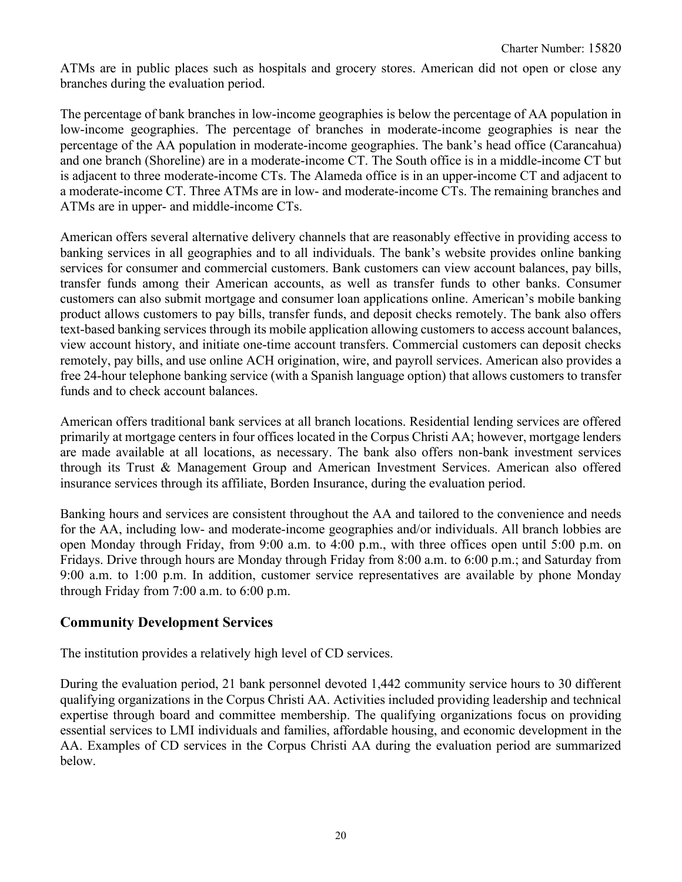ATMs are in public places such as hospitals and grocery stores. American did not open or close any branches during the evaluation period.

The percentage of bank branches in low-income geographies is below the percentage of AA population in low-income geographies. The percentage of branches in moderate-income geographies is near the percentage of the AA population in moderate-income geographies. The bank's head office (Carancahua) and one branch (Shoreline) are in a moderate-income CT. The South office is in a middle-income CT but is adjacent to three moderate-income CTs. The Alameda office is in an upper-income CT and adjacent to a moderate-income CT. Three ATMs are in low- and moderate-income CTs. The remaining branches and ATMs are in upper- and middle-income CTs.

American offers several alternative delivery channels that are reasonably effective in providing access to banking services in all geographies and to all individuals. The bank's website provides online banking services for consumer and commercial customers. Bank customers can view account balances, pay bills, transfer funds among their American accounts, as well as transfer funds to other banks. Consumer customers can also submit mortgage and consumer loan applications online. American's mobile banking product allows customers to pay bills, transfer funds, and deposit checks remotely. The bank also offers text-based banking services through its mobile application allowing customers to access account balances, view account history, and initiate one-time account transfers. Commercial customers can deposit checks remotely, pay bills, and use online ACH origination, wire, and payroll services. American also provides a free 24-hour telephone banking service (with a Spanish language option) that allows customers to transfer funds and to check account balances.

American offers traditional bank services at all branch locations. Residential lending services are offered primarily at mortgage centers in four offices located in the Corpus Christi AA; however, mortgage lenders are made available at all locations, as necessary. The bank also offers non-bank investment services through its Trust & Management Group and American Investment Services. American also offered insurance services through its affiliate, Borden Insurance, during the evaluation period.

Banking hours and services are consistent throughout the AA and tailored to the convenience and needs for the AA, including low- and moderate-income geographies and/or individuals. All branch lobbies are open Monday through Friday, from 9:00 a.m. to 4:00 p.m., with three offices open until 5:00 p.m. on Fridays. Drive through hours are Monday through Friday from 8:00 a.m. to 6:00 p.m.; and Saturday from 9:00 a.m. to 1:00 p.m. In addition, customer service representatives are available by phone Monday through Friday from 7:00 a.m. to 6:00 p.m.

### **Community Development Services**

The institution provides a relatively high level of CD services.

During the evaluation period, 21 bank personnel devoted 1,442 community service hours to 30 different qualifying organizations in the Corpus Christi AA. Activities included providing leadership and technical expertise through board and committee membership. The qualifying organizations focus on providing essential services to LMI individuals and families, affordable housing, and economic development in the AA. Examples of CD services in the Corpus Christi AA during the evaluation period are summarized below.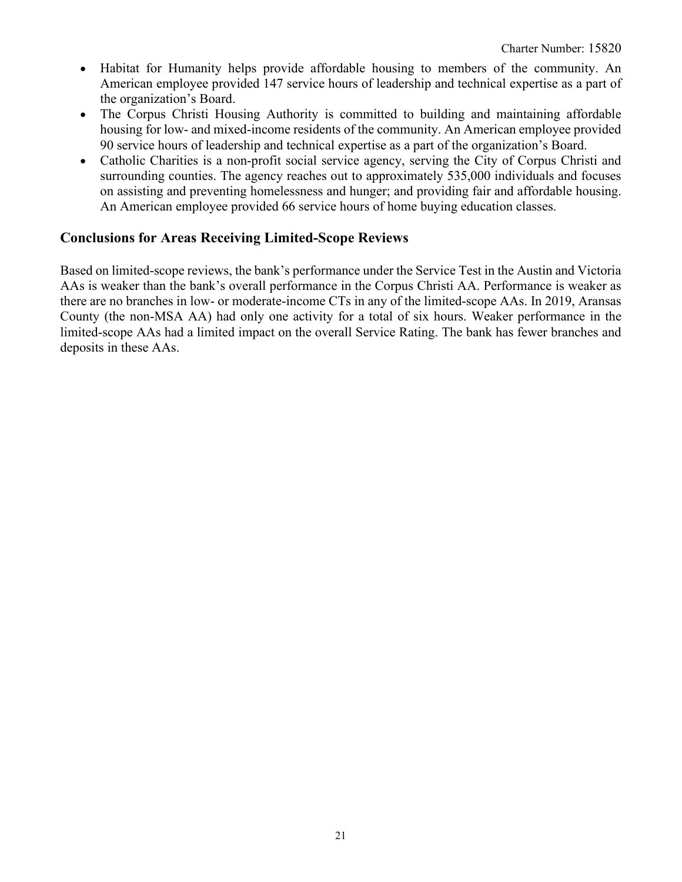- Habitat for Humanity helps provide affordable housing to members of the community. An American employee provided 147 service hours of leadership and technical expertise as a part of the organization's Board.
- The Corpus Christi Housing Authority is committed to building and maintaining affordable housing for low- and mixed-income residents of the community. An American employee provided 90 service hours of leadership and technical expertise as a part of the organization's Board.
- Catholic Charities is a non-profit social service agency, serving the City of Corpus Christi and surrounding counties. The agency reaches out to approximately 535,000 individuals and focuses on assisting and preventing homelessness and hunger; and providing fair and affordable housing. An American employee provided 66 service hours of home buying education classes.

### **Conclusions for Areas Receiving Limited-Scope Reviews**

Based on limited-scope reviews, the bank's performance under the Service Test in the Austin and Victoria AAs is weaker than the bank's overall performance in the Corpus Christi AA. Performance is weaker as there are no branches in low- or moderate-income CTs in any of the limited-scope AAs. In 2019, Aransas County (the non-MSA AA) had only one activity for a total of six hours. Weaker performance in the limited-scope AAs had a limited impact on the overall Service Rating. The bank has fewer branches and deposits in these AAs.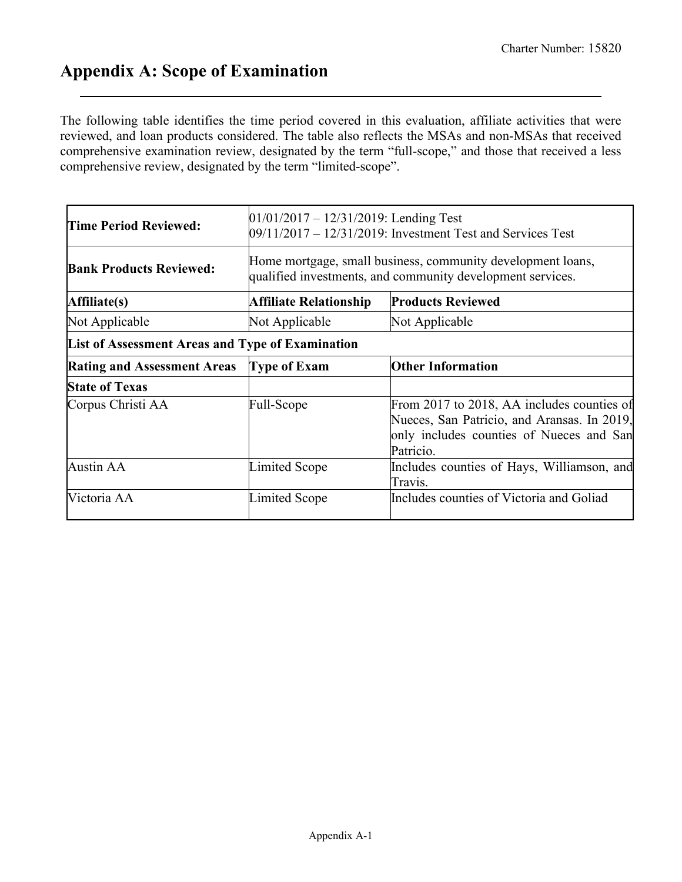# <span id="page-21-0"></span>**Appendix A: Scope of Examination**

The following table identifies the time period covered in this evaluation, affiliate activities that were reviewed, and loan products considered. The table also reflects the MSAs and non-MSAs that received comprehensive examination review, designated by the term "full-scope," and those that received a less comprehensive review, designated by the term "limited-scope".

| Time Period Reviewed:                            | $01/01/2017 - 12/31/2019$ : Lending Test<br>09/11/2017 – 12/31/2019: Investment Test and Services Test |                                                                                                                                                    |  |  |  |  |  |  |
|--------------------------------------------------|--------------------------------------------------------------------------------------------------------|----------------------------------------------------------------------------------------------------------------------------------------------------|--|--|--|--|--|--|
| <b>Bank Products Reviewed:</b>                   |                                                                                                        | Home mortgage, small business, community development loans,<br>qualified investments, and community development services.                          |  |  |  |  |  |  |
| Affiliate(s)                                     | Affiliate Relationship                                                                                 | <b>Products Reviewed</b>                                                                                                                           |  |  |  |  |  |  |
| Not Applicable                                   | Not Applicable                                                                                         | Not Applicable                                                                                                                                     |  |  |  |  |  |  |
| List of Assessment Areas and Type of Examination |                                                                                                        |                                                                                                                                                    |  |  |  |  |  |  |
| <b>Rating and Assessment Areas</b>               | <b>Type of Exam</b>                                                                                    | <b>Other Information</b>                                                                                                                           |  |  |  |  |  |  |
| <b>State of Texas</b>                            |                                                                                                        |                                                                                                                                                    |  |  |  |  |  |  |
| Corpus Christi AA                                | Full-Scope                                                                                             | From 2017 to 2018, AA includes counties of<br>Nueces, San Patricio, and Aransas. In 2019,<br>only includes counties of Nueces and San<br>Patricio. |  |  |  |  |  |  |
| <b>Austin AA</b>                                 | Limited Scope                                                                                          | Includes counties of Hays, Williamson, and<br>Travis.                                                                                              |  |  |  |  |  |  |
| Victoria AA                                      | Limited Scope                                                                                          | Includes counties of Victoria and Goliad                                                                                                           |  |  |  |  |  |  |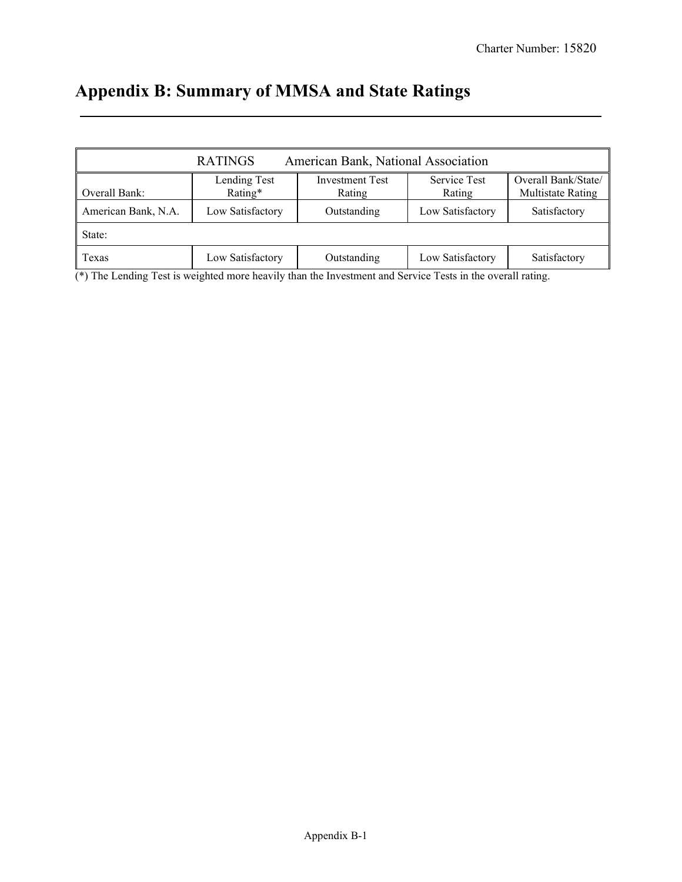# <span id="page-22-0"></span>**Appendix B: Summary of MMSA and State Ratings**

|                     | <b>RATINGS</b>          | American Bank, National Association |                               |                                          |
|---------------------|-------------------------|-------------------------------------|-------------------------------|------------------------------------------|
| Overall Bank:       | Lending Test<br>Rating* | <b>Investment Test</b><br>Rating    | <b>Service Test</b><br>Rating | Overall Bank/State/<br>Multistate Rating |
| American Bank, N.A. | Low Satisfactory        | Outstanding                         | Low Satisfactory              | Satisfactory                             |
| State:              |                         |                                     |                               |                                          |
| <b>Texas</b>        | Low Satisfactory        | Outstanding                         | Low Satisfactory              | Satisfactory                             |

(\*) The Lending Test is weighted more heavily than the Investment and Service Tests in the overall rating.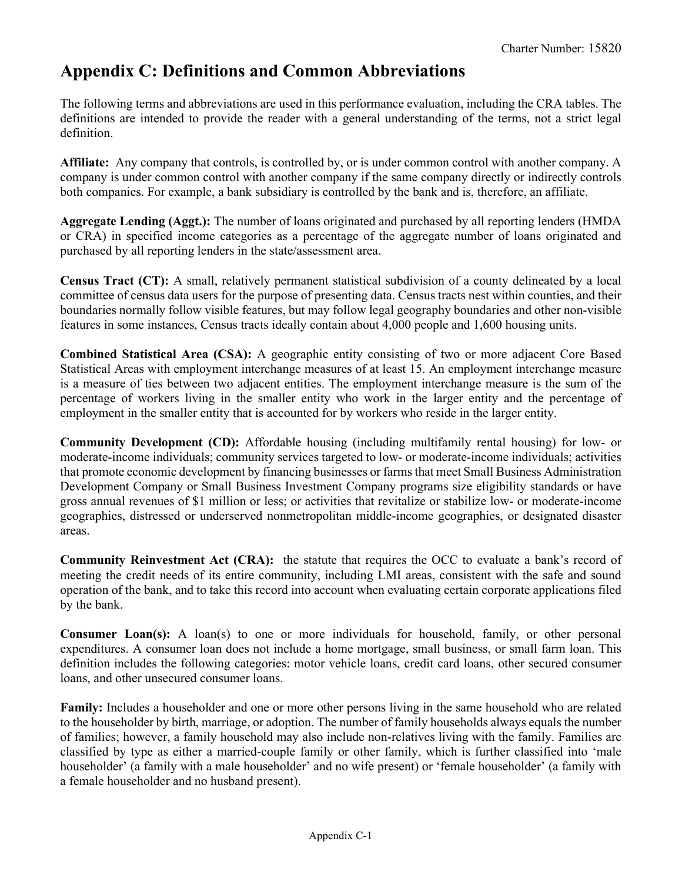# <span id="page-23-0"></span>**Appendix C: Definitions and Common Abbreviations**

The following terms and abbreviations are used in this performance evaluation, including the CRA tables. The definitions are intended to provide the reader with a general understanding of the terms, not a strict legal definition.

**Affiliate:** Any company that controls, is controlled by, or is under common control with another company. A company is under common control with another company if the same company directly or indirectly controls both companies. For example, a bank subsidiary is controlled by the bank and is, therefore, an affiliate.

**Aggregate Lending (Aggt.):** The number of loans originated and purchased by all reporting lenders (HMDA or CRA) in specified income categories as a percentage of the aggregate number of loans originated and purchased by all reporting lenders in the state/assessment area.

**Census Tract (CT):** A small, relatively permanent statistical subdivision of a county delineated by a local committee of census data users for the purpose of presenting data. Census tracts nest within counties, and their boundaries normally follow visible features, but may follow legal geography boundaries and other non-visible features in some instances, Census tracts ideally contain about 4,000 people and 1,600 housing units.

**Combined Statistical Area (CSA):** A geographic entity consisting of two or more adjacent Core Based Statistical Areas with employment interchange measures of at least 15. An employment interchange measure is a measure of ties between two adjacent entities. The employment interchange measure is the sum of the percentage of workers living in the smaller entity who work in the larger entity and the percentage of employment in the smaller entity that is accounted for by workers who reside in the larger entity.

**Community Development (CD):** Affordable housing (including multifamily rental housing) for low- or moderate-income individuals; community services targeted to low- or moderate-income individuals; activities that promote economic development by financing businesses or farms that meet Small Business Administration Development Company or Small Business Investment Company programs size eligibility standards or have gross annual revenues of \$1 million or less; or activities that revitalize or stabilize low- or moderate-income geographies, distressed or underserved nonmetropolitan middle-income geographies, or designated disaster areas.

**Community Reinvestment Act (CRA):** the statute that requires the OCC to evaluate a bank's record of meeting the credit needs of its entire community, including LMI areas, consistent with the safe and sound operation of the bank, and to take this record into account when evaluating certain corporate applications filed by the bank.

**Consumer Loan(s):** A loan(s) to one or more individuals for household, family, or other personal expenditures. A consumer loan does not include a home mortgage, small business, or small farm loan. This definition includes the following categories: motor vehicle loans, credit card loans, other secured consumer loans, and other unsecured consumer loans.

**Family:** Includes a householder and one or more other persons living in the same household who are related to the householder by birth, marriage, or adoption. The number of family households always equals the number of families; however, a family household may also include non-relatives living with the family. Families are classified by type as either a married-couple family or other family, which is further classified into 'male householder' (a family with a male householder' and no wife present) or 'female householder' (a family with a female householder and no husband present).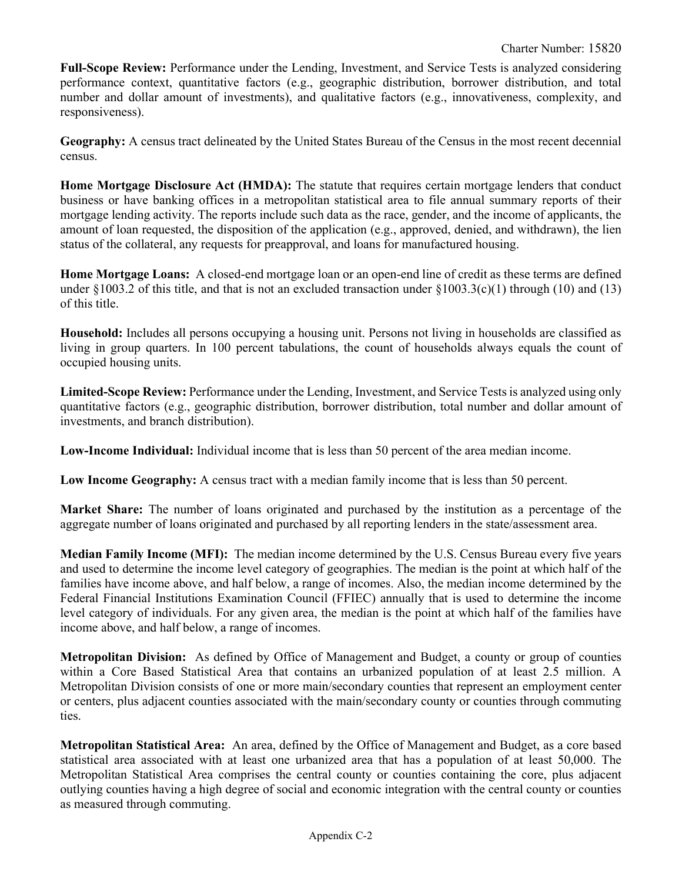**Full-Scope Review:** Performance under the Lending, Investment, and Service Tests is analyzed considering performance context, quantitative factors (e.g., geographic distribution, borrower distribution, and total number and dollar amount of investments), and qualitative factors (e.g., innovativeness, complexity, and responsiveness).

**Geography:** A census tract delineated by the United States Bureau of the Census in the most recent decennial census.

**Home Mortgage Disclosure Act (HMDA):** The statute that requires certain mortgage lenders that conduct business or have banking offices in a metropolitan statistical area to file annual summary reports of their mortgage lending activity. The reports include such data as the race, gender, and the income of applicants, the amount of loan requested, the disposition of the application (e.g., approved, denied, and withdrawn), the lien status of the collateral, any requests for preapproval, and loans for manufactured housing.

**Home Mortgage Loans:** A closed-end mortgage loan or an open-end line of credit as these terms are defined under §1003.2 of this title, and that is not an excluded transaction under §1003.3(c)(1) through (10) and (13) of this title.

**Household:** Includes all persons occupying a housing unit. Persons not living in households are classified as living in group quarters. In 100 percent tabulations, the count of households always equals the count of occupied housing units.

**Limited-Scope Review:** Performance under the Lending, Investment, and Service Tests is analyzed using only quantitative factors (e.g., geographic distribution, borrower distribution, total number and dollar amount of investments, and branch distribution).

**Low-Income Individual:** Individual income that is less than 50 percent of the area median income.

**Low Income Geography:** A census tract with a median family income that is less than 50 percent.

**Market Share:** The number of loans originated and purchased by the institution as a percentage of the aggregate number of loans originated and purchased by all reporting lenders in the state/assessment area.

**Median Family Income (MFI):** The median income determined by the U.S. Census Bureau every five years and used to determine the income level category of geographies. The median is the point at which half of the families have income above, and half below, a range of incomes. Also, the median income determined by the Federal Financial Institutions Examination Council (FFIEC) annually that is used to determine the income level category of individuals. For any given area, the median is the point at which half of the families have income above, and half below, a range of incomes.

**Metropolitan Division:** As defined by Office of Management and Budget, a county or group of counties within a Core Based Statistical Area that contains an urbanized population of at least 2.5 million. A Metropolitan Division consists of one or more main/secondary counties that represent an employment center or centers, plus adjacent counties associated with the main/secondary county or counties through commuting ties.

**Metropolitan Statistical Area:** An area, defined by the Office of Management and Budget, as a core based statistical area associated with at least one urbanized area that has a population of at least 50,000. The Metropolitan Statistical Area comprises the central county or counties containing the core, plus adjacent outlying counties having a high degree of social and economic integration with the central county or counties as measured through commuting.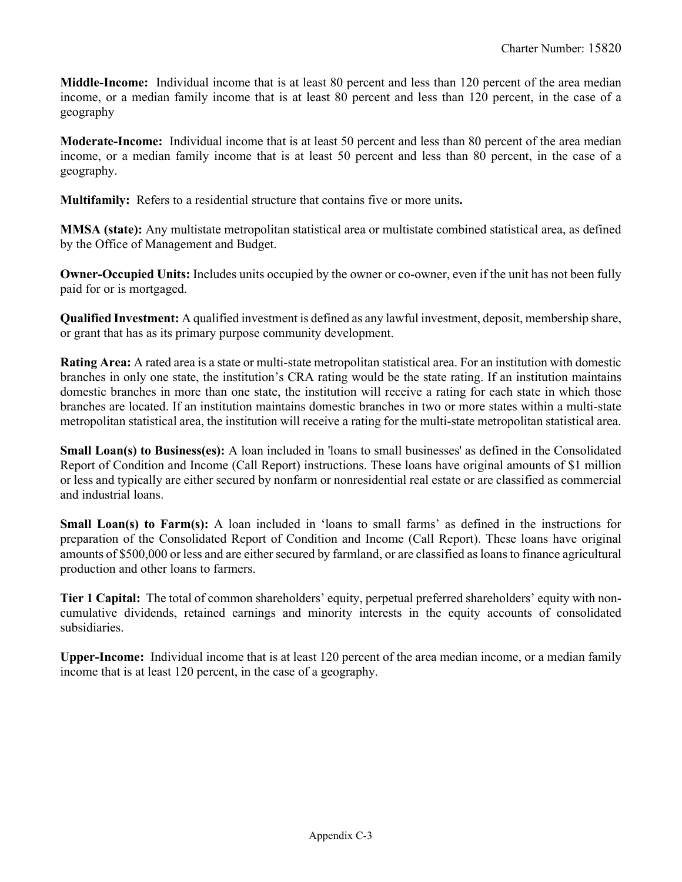**Middle-Income:** Individual income that is at least 80 percent and less than 120 percent of the area median income, or a median family income that is at least 80 percent and less than 120 percent, in the case of a geography

**Moderate-Income:** Individual income that is at least 50 percent and less than 80 percent of the area median income, or a median family income that is at least 50 percent and less than 80 percent, in the case of a geography.

**Multifamily:** Refers to a residential structure that contains five or more units**.**

**MMSA (state):** Any multistate metropolitan statistical area or multistate combined statistical area, as defined by the Office of Management and Budget.

**Owner-Occupied Units:** Includes units occupied by the owner or co-owner, even if the unit has not been fully paid for or is mortgaged.

**Qualified Investment:** A qualified investment is defined as any lawful investment, deposit, membership share, or grant that has as its primary purpose community development.

**Rating Area:** A rated area is a state or multi-state metropolitan statistical area. For an institution with domestic branches in only one state, the institution's CRA rating would be the state rating. If an institution maintains domestic branches in more than one state, the institution will receive a rating for each state in which those branches are located. If an institution maintains domestic branches in two or more states within a multi-state metropolitan statistical area, the institution will receive a rating for the multi-state metropolitan statistical area.

**Small Loan(s) to Business(es):** A loan included in 'loans to small businesses' as defined in the Consolidated Report of Condition and Income (Call Report) instructions. These loans have original amounts of \$1 million or less and typically are either secured by nonfarm or nonresidential real estate or are classified as commercial and industrial loans.

**Small Loan(s) to Farm(s):** A loan included in 'loans to small farms' as defined in the instructions for preparation of the Consolidated Report of Condition and Income (Call Report). These loans have original amounts of \$500,000 or less and are either secured by farmland, or are classified as loans to finance agricultural production and other loans to farmers.

**Tier 1 Capital:** The total of common shareholders' equity, perpetual preferred shareholders' equity with noncumulative dividends, retained earnings and minority interests in the equity accounts of consolidated subsidiaries.

**Upper-Income:** Individual income that is at least 120 percent of the area median income, or a median family income that is at least 120 percent, in the case of a geography.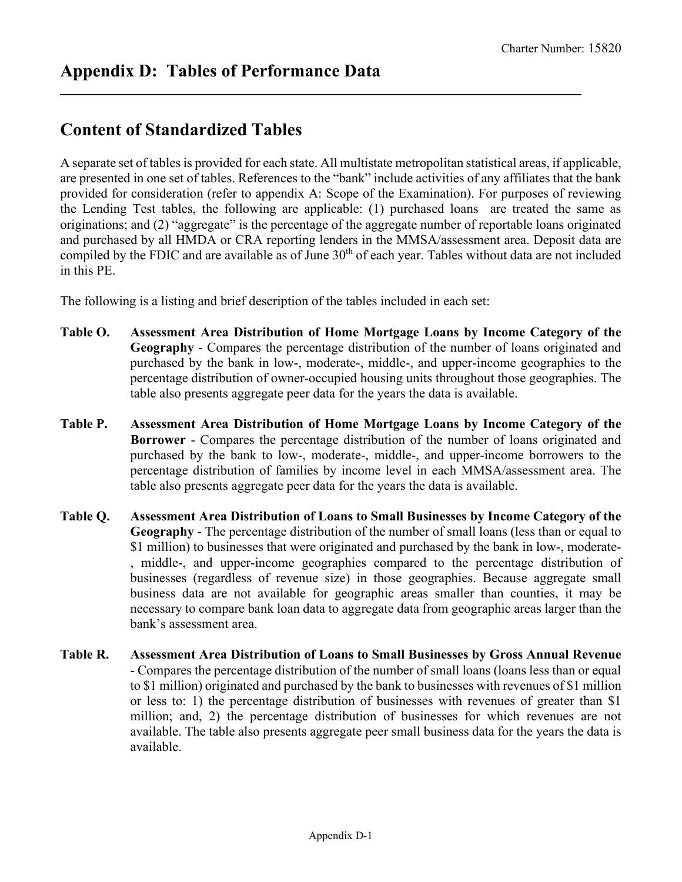# <span id="page-26-0"></span>**Content of Standardized Tables**

A separate set of tables is provided for each state. All multistate metropolitan statistical areas, if applicable, are presented in one set of tables. References to the "bank" include activities of any affiliates that the bank provided for consideration (refer to appendix A: Scope of the Examination). For purposes of reviewing the Lending Test tables, the following are applicable: (1) purchased loans are treated the same as originations; and (2) "aggregate" is the percentage of the aggregate number of reportable loans originated and purchased by all HMDA or CRA reporting lenders in the MMSA/assessment area. Deposit data are compiled by the FDIC and are available as of June  $30<sup>th</sup>$  of each year. Tables without data are not included in this PE.

The following is a listing and brief description of the tables included in each set:

- **Table O. Assessment Area Distribution of Home Mortgage Loans by Income Category of the Geography** - Compares the percentage distribution of the number of loans originated and purchased by the bank in low-, moderate-, middle-, and upper-income geographies to the percentage distribution of owner-occupied housing units throughout those geographies. The table also presents aggregate peer data for the years the data is available.
- **Table P. Assessment Area Distribution of Home Mortgage Loans by Income Category of the Borrower** - Compares the percentage distribution of the number of loans originated and purchased by the bank to low-, moderate-, middle-, and upper-income borrowers to the percentage distribution of families by income level in each MMSA/assessment area. The table also presents aggregate peer data for the years the data is available.
- **Table Q. Assessment Area Distribution of Loans to Small Businesses by Income Category of the Geography** - The percentage distribution of the number of small loans (less than or equal to \$1 million) to businesses that were originated and purchased by the bank in low-, moderate- , middle-, and upper-income geographies compared to the percentage distribution of businesses (regardless of revenue size) in those geographies. Because aggregate small business data are not available for geographic areas smaller than counties, it may be necessary to compare bank loan data to aggregate data from geographic areas larger than the bank's assessment area.
- **Table R. Assessment Area Distribution of Loans to Small Businesses by Gross Annual Revenue** - Compares the percentage distribution of the number of small loans (loans less than or equal to \$1 million) originated and purchased by the bank to businesses with revenues of \$1 million or less to: 1) the percentage distribution of businesses with revenues of greater than \$1 million; and, 2) the percentage distribution of businesses for which revenues are not available. The table also presents aggregate peer small business data for the years the data is available.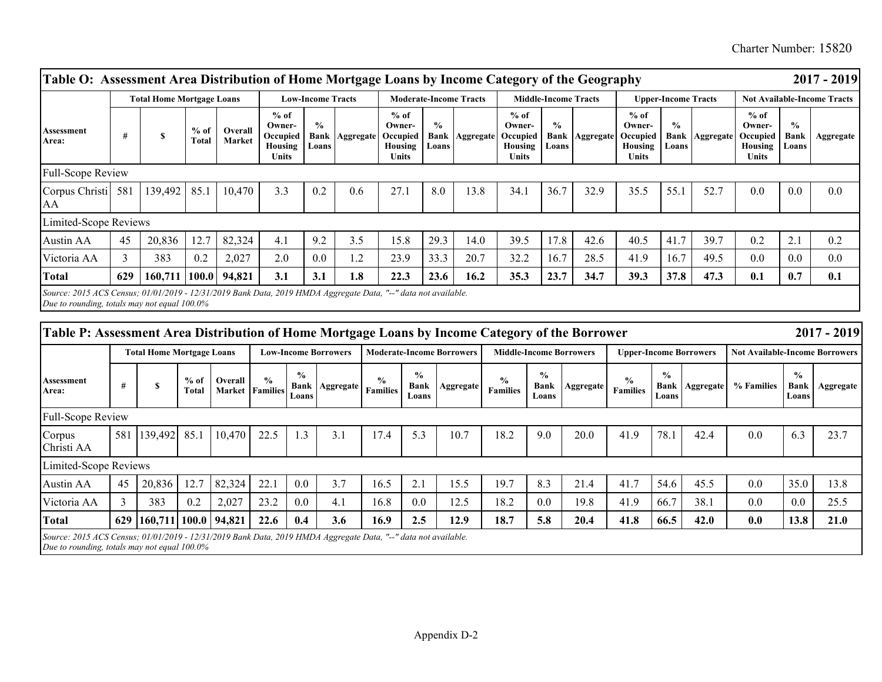Charter Number: 15820

|                                                                                                                                                                |     | <b>Total Home Mortgage Loans</b> |                 |                   | <b>Low-Income Tracts</b>                                |                                       |           | <b>Moderate-Income Tracts</b>                           |                                       |                  | <b>Middle-Income Tracts</b>                             |                        |                       | <b>Upper-Income Tracts</b>                                     |                                |           | <b>Not Available-Income Tracts</b>                      |                                |           |
|----------------------------------------------------------------------------------------------------------------------------------------------------------------|-----|----------------------------------|-----------------|-------------------|---------------------------------------------------------|---------------------------------------|-----------|---------------------------------------------------------|---------------------------------------|------------------|---------------------------------------------------------|------------------------|-----------------------|----------------------------------------------------------------|--------------------------------|-----------|---------------------------------------------------------|--------------------------------|-----------|
| Assessment<br>Area:                                                                                                                                            |     | <b>S</b>                         | $%$ of<br>Total | Overall<br>Market | $%$ of<br>Owner-<br>Occupied<br>Housing<br><b>Units</b> | $\frac{0}{0}$<br><b>Bank</b><br>Loans | Aggregate | $%$ of<br>Owner-<br>Occupied<br>Housing<br><b>Units</b> | $\frac{0}{0}$<br><b>Bank</b><br>Loans | <b>Aggregate</b> | $%$ of<br>Owner-<br>Occupied<br>Housing<br><b>Units</b> | $\frac{0}{0}$<br>Loans | <b>Bank Aggregate</b> | $%$ of<br>Owner-<br>Occupied<br><b>Housing</b><br><b>Units</b> | $\frac{0}{0}$<br>Bank<br>Loans | Aggregate | $%$ of<br>Owner-<br>Occupied<br>Housing<br><b>Units</b> | $\frac{0}{0}$<br>Bank<br>Loans | Aggregate |
| <b>Full-Scope Review</b>                                                                                                                                       |     |                                  |                 |                   |                                                         |                                       |           |                                                         |                                       |                  |                                                         |                        |                       |                                                                |                                |           |                                                         |                                |           |
| Corpus Christi<br>AA                                                                                                                                           | 581 | 139,492                          | 85.1            | 10,470            | 3.3                                                     | 0.2                                   | 0.6       | 27.1                                                    | 8.0                                   | 13.8             | 34.1                                                    | 36.7                   | 32.9                  | 35.5                                                           | 55.1                           | 52.7      | 0.0                                                     | 0.0                            | 0.0       |
| Limited-Scope Reviews                                                                                                                                          |     |                                  |                 |                   |                                                         |                                       |           |                                                         |                                       |                  |                                                         |                        |                       |                                                                |                                |           |                                                         |                                |           |
| Austin AA                                                                                                                                                      | 45  | 20,836                           | 12.7            | 82,324            | 4.1                                                     | 9.2                                   | 3.5       | 15.8                                                    | 29.3                                  | 14.0             | 39.5                                                    | 17.8                   | 42.6                  | 40.5                                                           | 41.7                           | 39.7      | 0.2                                                     | 2.1                            | 0.2       |
| Victoria AA                                                                                                                                                    | 3   | 383                              | 0.2             | 2,027             | 2.0                                                     | 0.0                                   | 1.2       | 23.9                                                    | 33.3                                  | 20.7             | 32.2                                                    | 16.7                   | 28.5                  | 41.9                                                           | 16.7                           | 49.5      | 0.0                                                     | 0.0                            | 0.0       |
| <b>Total</b>                                                                                                                                                   | 629 | 160,711                          | <b>100.0</b>    | 94,821            | 3.1                                                     | 3.1                                   | 1.8       | 22.3                                                    | 23.6                                  | 16.2             | 35.3                                                    | 23.7                   | 34.7                  | 39.3                                                           | 37.8                           | 47.3      | 0.1                                                     | 0.7                            | 0.1       |
| Source: 2015 ACS Census; 01/01/2019 - 12/31/2019 Bank Data, 2019 HMDA Aggregate Data, "--" data not available.<br>Due to rounding, totals may not equal 100.0% |     |                                  |                 |                   |                                                         |                                       |           |                                                         |                                       |                  |                                                         |                        |                       |                                                                |                                |           |                                                         |                                |           |

| Table P: Assessment Area Distribution of Home Mortgage Loans by Income Category of the Borrower                |     |                                  |                 |         |                                         |                                |                  |                                  |                                  |           |                                  |                                |           |                                  |                        |                               |                                       |                                       | $2017 - 2019$    |
|----------------------------------------------------------------------------------------------------------------|-----|----------------------------------|-----------------|---------|-----------------------------------------|--------------------------------|------------------|----------------------------------|----------------------------------|-----------|----------------------------------|--------------------------------|-----------|----------------------------------|------------------------|-------------------------------|---------------------------------------|---------------------------------------|------------------|
|                                                                                                                |     | <b>Total Home Mortgage Loans</b> |                 |         |                                         | <b>Low-Income Borrowers</b>    |                  |                                  | <b>Moderate-Income Borrowers</b> |           |                                  | <b>Middle-Income Borrowers</b> |           |                                  |                        | <b>Upper-Income Borrowers</b> | <b>Not Available-Income Borrowers</b> |                                       |                  |
| Assessment<br>Area:                                                                                            |     |                                  | $%$ of<br>Total | Overall | $\frac{0}{0}$<br><b>Market Families</b> | $\frac{0}{0}$<br>Bank<br>Loans | <b>Aggregate</b> | $\frac{0}{0}$<br><b>Families</b> | $\frac{0}{0}$<br>Bank<br>Loans   | Aggregate | $\frac{6}{9}$<br><b>Families</b> | $\%$<br><b>Bank</b><br>Loans   | Aggregate | $\frac{0}{0}$<br><b>Families</b> | $\frac{6}{9}$<br>Loans | <b>Bank   Aggregate</b>       | % Families                            | $\frac{0}{0}$<br><b>Bank</b><br>Loans | <b>Aggregate</b> |
| Full-Scope Review                                                                                              |     |                                  |                 |         |                                         |                                |                  |                                  |                                  |           |                                  |                                |           |                                  |                        |                               |                                       |                                       |                  |
| Corpus<br>Christi AA                                                                                           | 581 | 139,492 85.1                     |                 | 10,470  | 22.5                                    | l.3                            | 3.1              | 17.4                             | 5.3                              | 10.7      | 18.2                             | 9.0                            | 20.0      | 41.9                             | 78.1                   | 42.4                          | 0.0                                   | 6.3                                   | 23.7             |
| Limited-Scope Reviews                                                                                          |     |                                  |                 |         |                                         |                                |                  |                                  |                                  |           |                                  |                                |           |                                  |                        |                               |                                       |                                       |                  |
| Austin AA                                                                                                      | 45  | 20,836                           | 12.7            | 82,324  | 22.1                                    | 0.0                            | 3.7              | 16.5                             | 2.1                              | 15.5      | 19.7                             | 8.3                            | 21.4      | 41.7                             | 54.6                   | 45.5                          | 0.0                                   | 35.0                                  | 13.8             |
| Victoria AA                                                                                                    |     | 383                              | 0.2             | 2,027   | 23.2                                    | 0.0                            | 4.1              | 16.8                             | 0.0                              | 12.5      | 18.2                             | 0.0                            | 19.8      | 41.9                             | 66.7                   | 38.1                          | 0.0                                   | 0.0                                   | 25.5             |
| <b>Total</b>                                                                                                   |     | 629 160,711 100.0                |                 | 94,821  | 22.6                                    | 0.4                            | 3.6              | 16.9                             | 2.5                              | 12.9      | 18.7                             | 5.8                            | 20.4      | 41.8                             | 66.5                   | 42.0                          | 0.0                                   | 13.8                                  | 21.0             |
| Source: 2015 ACS Census; 01/01/2019 - 12/31/2019 Bank Data, 2019 HMDA Aggregate Data, "--" data not available. |     |                                  |                 |         |                                         |                                |                  |                                  |                                  |           |                                  |                                |           |                                  |                        |                               |                                       |                                       |                  |

*Due to rounding, totals may not equal 100.0%*